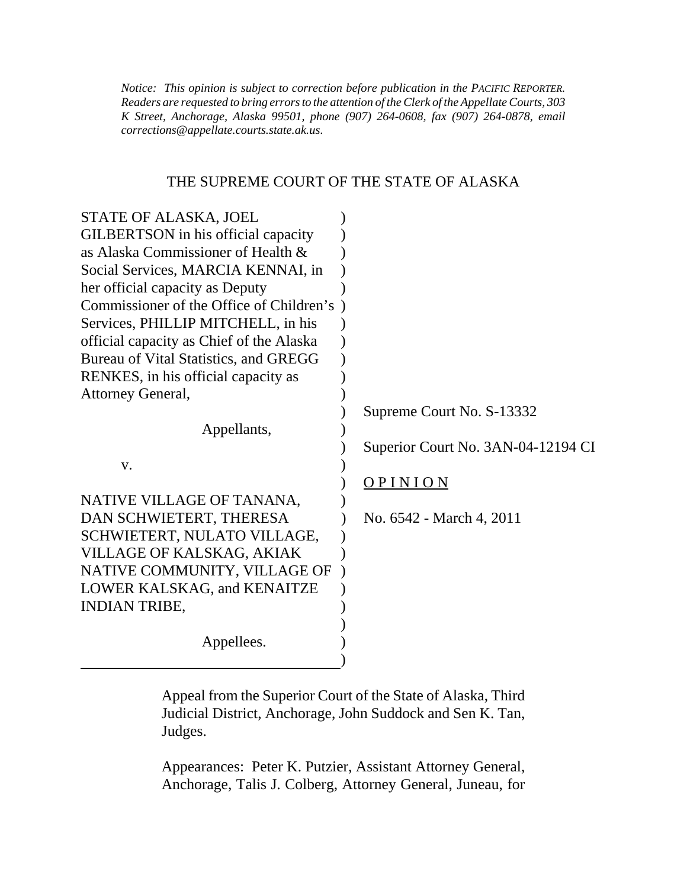*Notice: This opinion is subject to correction before publication in the PACIFIC REPORTER. Readers are requested to bring errors to the attention of the Clerk of the Appellate Courts, 303 K Street, Anchorage, Alaska 99501, phone (907) 264-0608, fax (907) 264-0878, email corrections@appellate.courts.state.ak.us*.

### THE SUPREME COURT OF THE STATE OF ALASKA

| STATE OF ALASKA, JOEL                      |                                    |
|--------------------------------------------|------------------------------------|
| GILBERTSON in his official capacity        |                                    |
| as Alaska Commissioner of Health &         |                                    |
| Social Services, MARCIA KENNAI, in         |                                    |
| her official capacity as Deputy            |                                    |
| Commissioner of the Office of Children's ) |                                    |
| Services, PHILLIP MITCHELL, in his         |                                    |
| official capacity as Chief of the Alaska   |                                    |
| Bureau of Vital Statistics, and GREGG      |                                    |
| RENKES, in his official capacity as        |                                    |
| Attorney General,                          |                                    |
|                                            | Supreme Court No. S-13332          |
| Appellants,                                |                                    |
|                                            | Superior Court No. 3AN-04-12194 CI |
| V.                                         |                                    |
|                                            | OPINION                            |
| NATIVE VILLAGE OF TANANA,                  |                                    |
| DAN SCHWIETERT, THERESA                    | No. 6542 - March 4, 2011           |
| SCHWIETERT, NULATO VILLAGE,                |                                    |
| VILLAGE OF KALSKAG, AKIAK                  |                                    |
| NATIVE COMMUNITY, VILLAGE OF               |                                    |
| LOWER KALSKAG, and KENAITZE                |                                    |
| <b>INDIAN TRIBE,</b>                       |                                    |
|                                            |                                    |
| Appellees.                                 |                                    |
|                                            |                                    |

Appeal from the Superior Court of the State of Alaska, Third Judicial District, Anchorage, John Suddock and Sen K. Tan, Judges.

Appearances: Peter K. Putzier, Assistant Attorney General, Anchorage, Talis J. Colberg, Attorney General, Juneau, for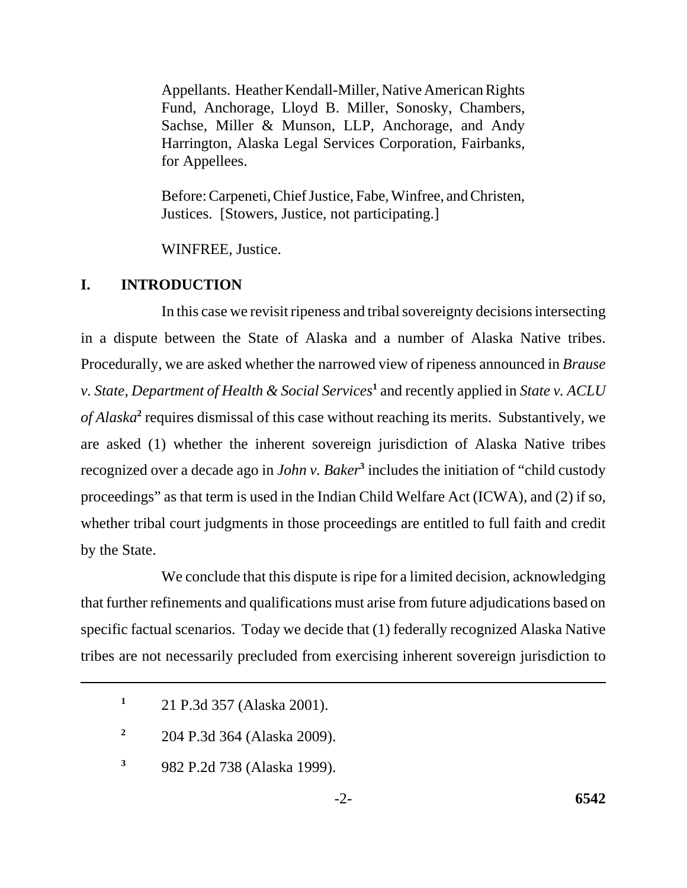Appellants. Heather Kendall-Miller, Native American Rights Fund, Anchorage, Lloyd B. Miller, Sonosky, Chambers, Sachse, Miller & Munson, LLP, Anchorage, and Andy Harrington, Alaska Legal Services Corporation, Fairbanks, for Appellees.

Before: Carpeneti, Chief Justice, Fabe, Winfree, and Christen, Justices. [Stowers, Justice, not participating.]

WINFREE, Justice.

### **I. INTRODUCTION**

In this case we revisit ripeness and tribal sovereignty decisions intersecting in a dispute between the State of Alaska and a number of Alaska Native tribes. Procedurally, we are asked whether the narrowed view of ripeness announced in *Brause v. State, Department of Health & Social Services*<sup>1</sup> and recently applied in *State v. ACLU* of Alaska<sup>2</sup> requires dismissal of this case without reaching its merits. Substantively, we are asked (1) whether the inherent sovereign jurisdiction of Alaska Native tribes recognized over a decade ago in *John v. Baker*<sup>3</sup> includes the initiation of "child custody proceedings" as that term is used in the Indian Child Welfare Act (ICWA), and (2) if so, whether tribal court judgments in those proceedings are entitled to full faith and credit by the State.

We conclude that this dispute is ripe for a limited decision, acknowledging that further refinements and qualifications must arise from future adjudications based on specific factual scenarios. Today we decide that (1) federally recognized Alaska Native tribes are not necessarily precluded from exercising inherent sovereign jurisdiction to

**<sup>1</sup>**21 P.3d 357 (Alaska 2001).

**<sup>2</sup>**204 P.3d 364 (Alaska 2009).

**<sup>3</sup>**982 P.2d 738 (Alaska 1999).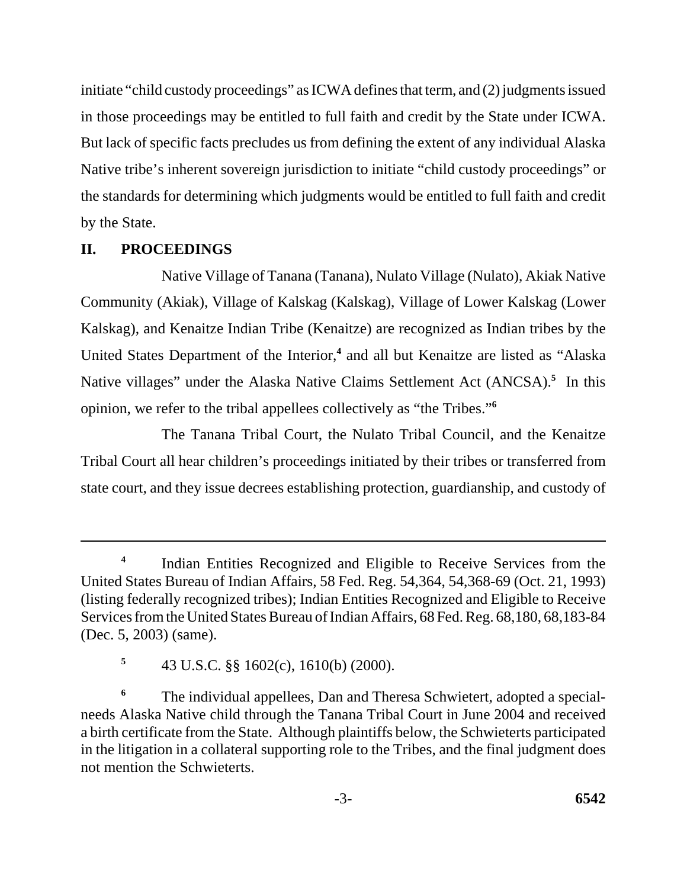initiate "child custody proceedings" as ICWA defines that term, and (2) judgments issued in those proceedings may be entitled to full faith and credit by the State under ICWA. But lack of specific facts precludes us from defining the extent of any individual Alaska Native tribe's inherent sovereign jurisdiction to initiate "child custody proceedings" or the standards for determining which judgments would be entitled to full faith and credit by the State.

### **II. PROCEEDINGS**

Native Village of Tanana (Tanana), Nulato Village (Nulato), Akiak Native Community (Akiak), Village of Kalskag (Kalskag), Village of Lower Kalskag (Lower Kalskag), and Kenaitze Indian Tribe (Kenaitze) are recognized as Indian tribes by the United States Department of the Interior,<sup>4</sup> and all but Kenaitze are listed as "Alaska Native villages" under the Alaska Native Claims Settlement Act (ANCSA).**<sup>5</sup>** In this opinion, we refer to the tribal appellees collectively as "the Tribes."**<sup>6</sup>**

The Tanana Tribal Court, the Nulato Tribal Council, and the Kenaitze Tribal Court all hear children's proceedings initiated by their tribes or transferred from state court, and they issue decrees establishing protection, guardianship, and custody of

<sup>&</sup>lt;sup>4</sup>Indian Entities Recognized and Eligible to Receive Services from the United States Bureau of Indian Affairs, 58 Fed. Reg. 54,364, 54,368-69 (Oct. 21, 1993) (listing federally recognized tribes); Indian Entities Recognized and Eligible to Receive Services from the United States Bureau of Indian Affairs, 68 Fed. Reg. 68,180, 68,183-84 (Dec. 5, 2003) (same).

**<sup>5</sup>**43 U.S.C. §§ 1602(c), 1610(b) (2000).

**<sup>6</sup>** The individual appellees, Dan and Theresa Schwietert, adopted a specialneeds Alaska Native child through the Tanana Tribal Court in June 2004 and received a birth certificate from the State. Although plaintiffs below, the Schwieterts participated in the litigation in a collateral supporting role to the Tribes, and the final judgment does not mention the Schwieterts.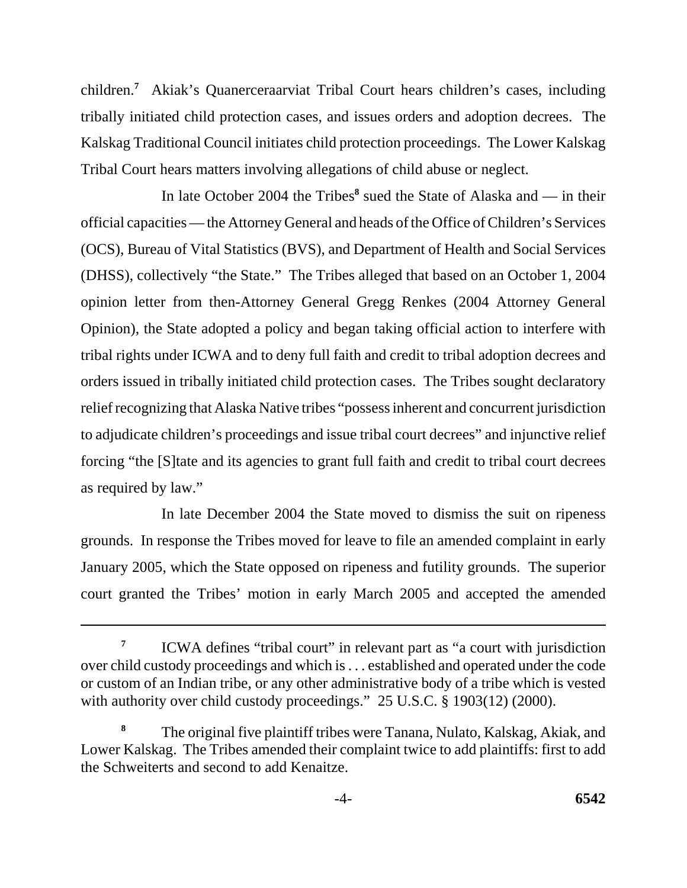children.**<sup>7</sup>** Akiak's Quanerceraarviat Tribal Court hears children's cases, including tribally initiated child protection cases, and issues orders and adoption decrees. The Kalskag Traditional Council initiates child protection proceedings. The Lower Kalskag Tribal Court hears matters involving allegations of child abuse or neglect.

In late October 2004 the Tribes<sup>8</sup> sued the State of Alaska and — in their official capacities — the Attorney General and heads of the Office of Children's Services (OCS), Bureau of Vital Statistics (BVS), and Department of Health and Social Services (DHSS), collectively "the State." The Tribes alleged that based on an October 1, 2004 opinion letter from then-Attorney General Gregg Renkes (2004 Attorney General Opinion), the State adopted a policy and began taking official action to interfere with tribal rights under ICWA and to deny full faith and credit to tribal adoption decrees and orders issued in tribally initiated child protection cases. The Tribes sought declaratory relief recognizing that Alaska Native tribes "possess inherent and concurrent jurisdiction to adjudicate children's proceedings and issue tribal court decrees" and injunctive relief forcing "the [S]tate and its agencies to grant full faith and credit to tribal court decrees as required by law."

In late December 2004 the State moved to dismiss the suit on ripeness grounds. In response the Tribes moved for leave to file an amended complaint in early January 2005, which the State opposed on ripeness and futility grounds. The superior court granted the Tribes' motion in early March 2005 and accepted the amended

<sup>&</sup>lt;sup>7</sup> ICWA defines "tribal court" in relevant part as "a court with jurisdiction over child custody proceedings and which is . . . established and operated under the code or custom of an Indian tribe, or any other administrative body of a tribe which is vested with authority over child custody proceedings." 25 U.S.C. § 1903(12) (2000).

**<sup>8</sup>**The original five plaintiff tribes were Tanana, Nulato, Kalskag, Akiak, and Lower Kalskag. The Tribes amended their complaint twice to add plaintiffs: first to add the Schweiterts and second to add Kenaitze.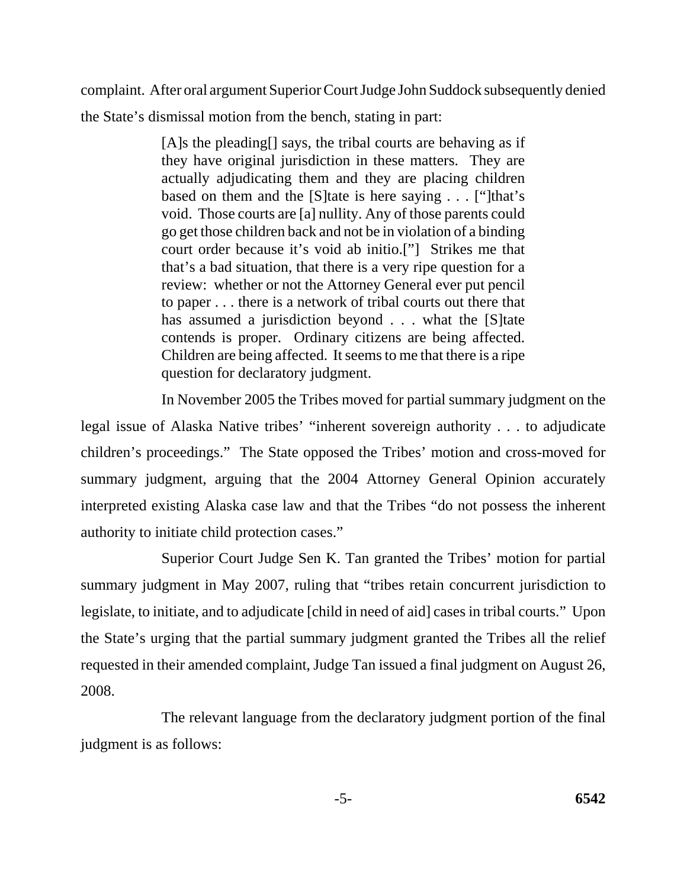complaint. After oral argument Superior Court Judge John Suddock subsequently denied the State's dismissal motion from the bench, stating in part:

> [A]s the pleading<sup>[]</sup> says, the tribal courts are behaving as if they have original jurisdiction in these matters. They are actually adjudicating them and they are placing children based on them and the [S]tate is here saying . . . ["]that's void. Those courts are [a] nullity. Any of those parents could go get those children back and not be in violation of a binding court order because it's void ab initio.["] Strikes me that that's a bad situation, that there is a very ripe question for a review: whether or not the Attorney General ever put pencil to paper . . . there is a network of tribal courts out there that has assumed a jurisdiction beyond . . . what the [S]tate contends is proper. Ordinary citizens are being affected. Children are being affected. It seems to me that there is a ripe question for declaratory judgment.

In November 2005 the Tribes moved for partial summary judgment on the legal issue of Alaska Native tribes' "inherent sovereign authority . . . to adjudicate children's proceedings." The State opposed the Tribes' motion and cross-moved for summary judgment, arguing that the 2004 Attorney General Opinion accurately interpreted existing Alaska case law and that the Tribes "do not possess the inherent authority to initiate child protection cases."

Superior Court Judge Sen K. Tan granted the Tribes' motion for partial summary judgment in May 2007, ruling that "tribes retain concurrent jurisdiction to legislate, to initiate, and to adjudicate [child in need of aid] cases in tribal courts." Upon the State's urging that the partial summary judgment granted the Tribes all the relief requested in their amended complaint, Judge Tan issued a final judgment on August 26, 2008.

The relevant language from the declaratory judgment portion of the final judgment is as follows: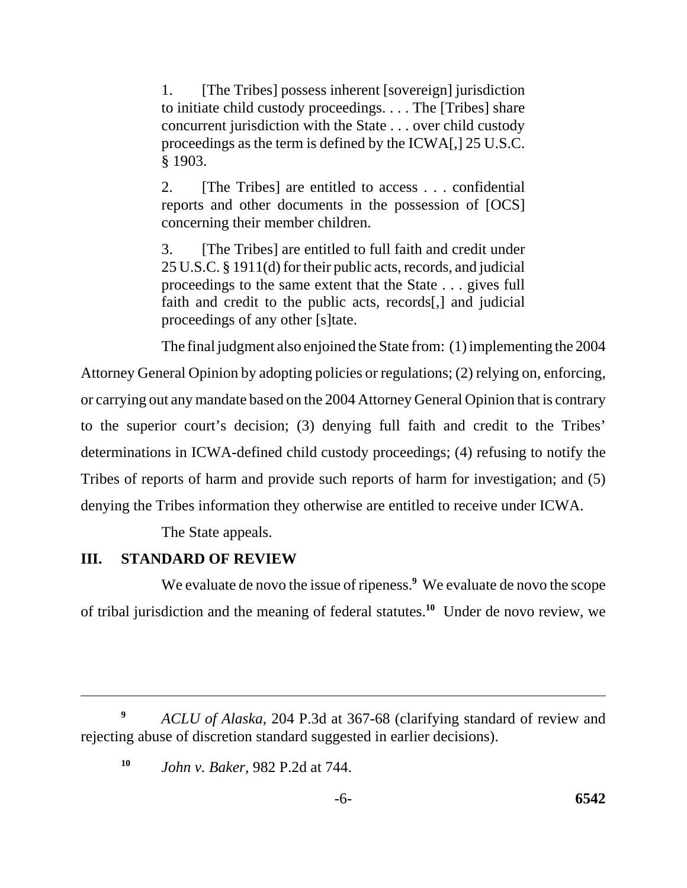1. [The Tribes] possess inherent [sovereign] jurisdiction to initiate child custody proceedings. . . . The [Tribes] share concurrent jurisdiction with the State . . . over child custody proceedings as the term is defined by the ICWA[,] 25 U.S.C. § 1903.

2. [The Tribes] are entitled to access . . . confidential reports and other documents in the possession of [OCS] concerning their member children.

3. [The Tribes] are entitled to full faith and credit under 25 U.S.C. § 1911(d) for their public acts, records, and judicial proceedings to the same extent that the State . . . gives full faith and credit to the public acts, records[,] and judicial proceedings of any other [s]tate.

The final judgment also enjoined the State from: (1) implementing the 2004 Attorney General Opinion by adopting policies or regulations; (2) relying on, enforcing, or carrying out any mandate based on the 2004 Attorney General Opinion that is contrary to the superior court's decision; (3) denying full faith and credit to the Tribes' determinations in ICWA-defined child custody proceedings; (4) refusing to notify the Tribes of reports of harm and provide such reports of harm for investigation; and (5) denying the Tribes information they otherwise are entitled to receive under ICWA.

The State appeals.

# **III. STANDARD OF REVIEW**

We evaluate de novo the issue of ripeness.<sup>9</sup> We evaluate de novo the scope of tribal jurisdiction and the meaning of federal statutes.**<sup>10</sup>** Under de novo review, we

**<sup>9</sup>***ACLU of Alaska*, 204 P.3d at 367-68 (clarifying standard of review and rejecting abuse of discretion standard suggested in earlier decisions).

**<sup>10</sup>***John v. Baker*, 982 P.2d at 744.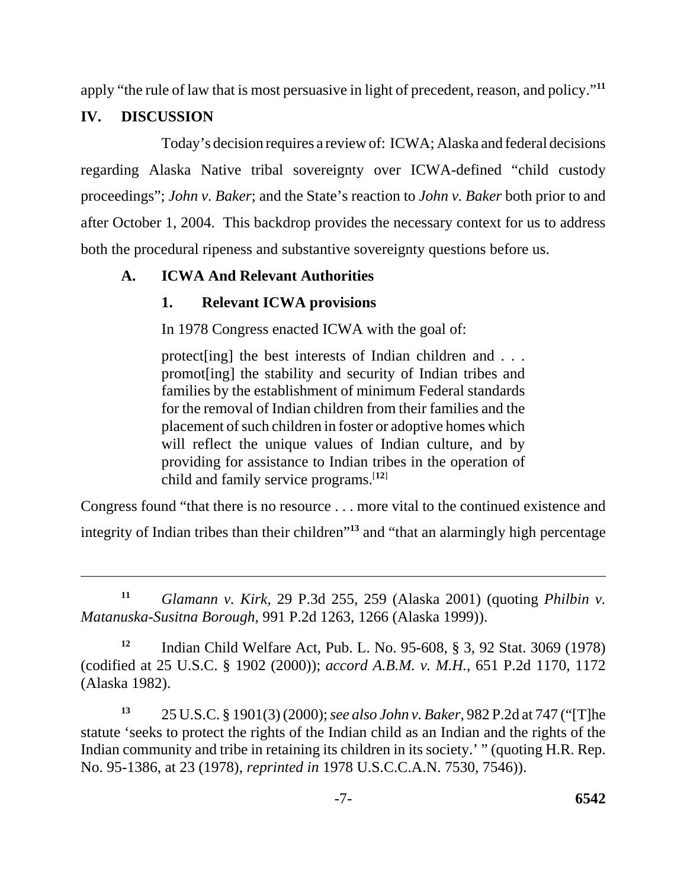apply "the rule of law that is most persuasive in light of precedent, reason, and policy."**<sup>11</sup>**

# **IV. DISCUSSION**

Today's decision requires a review of: ICWA; Alaska and federal decisions regarding Alaska Native tribal sovereignty over ICWA-defined "child custody proceedings"; *John v. Baker*; and the State's reaction to *John v. Baker* both prior to and after October 1, 2004. This backdrop provides the necessary context for us to address both the procedural ripeness and substantive sovereignty questions before us.

# **A. ICWA And Relevant Authorities**

# **1. Relevant ICWA provisions**

In 1978 Congress enacted ICWA with the goal of:

protect[ing] the best interests of Indian children and . . . promot[ing] the stability and security of Indian tribes and families by the establishment of minimum Federal standards for the removal of Indian children from their families and the placement of such children in foster or adoptive homes which will reflect the unique values of Indian culture, and by providing for assistance to Indian tribes in the operation of child and family service programs.[**12**]

Congress found "that there is no resource . . . more vital to the continued existence and integrity of Indian tribes than their children"**<sup>13</sup>** and "that an alarmingly high percentage

**<sup>11</sup>***Glamann v. Kirk*, 29 P.3d 255, 259 (Alaska 2001) (quoting *Philbin v. Matanuska-Susitna Borough*, 991 P.2d 1263, 1266 (Alaska 1999)).

**<sup>12</sup>**Indian Child Welfare Act, Pub. L. No. 95-608, § 3, 92 Stat. 3069 (1978) (codified at 25 U.S.C. § 1902 (2000)); *accord A.B.M. v. M.H.*, 651 P.2d 1170, 1172 (Alaska 1982).

**<sup>13</sup>**25 U.S.C. § 1901(3) (2000); *see also John v. Baker*, 982 P.2d at 747 ("[T]he statute 'seeks to protect the rights of the Indian child as an Indian and the rights of the Indian community and tribe in retaining its children in its society.' " (quoting H.R. Rep. No. 95-1386, at 23 (1978), *reprinted in* 1978 U.S.C.C.A.N. 7530, 7546)).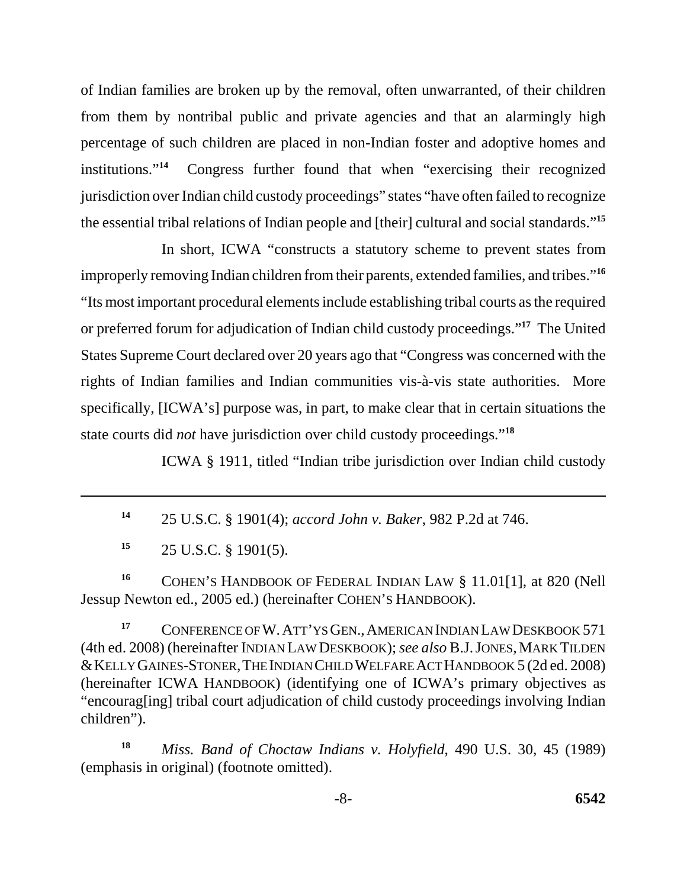of Indian families are broken up by the removal, often unwarranted, of their children from them by nontribal public and private agencies and that an alarmingly high percentage of such children are placed in non-Indian foster and adoptive homes and institutions."**<sup>14</sup>** Congress further found that when "exercising their recognized jurisdiction over Indian child custody proceedings" states "have often failed to recognize the essential tribal relations of Indian people and [their] cultural and social standards."**<sup>15</sup>**

In short, ICWA "constructs a statutory scheme to prevent states from improperly removing Indian children from their parents, extended families, and tribes."**<sup>16</sup>** "Its most important procedural elements include establishing tribal courts as the required or preferred forum for adjudication of Indian child custody proceedings."**<sup>17</sup>** The United States Supreme Court declared over 20 years ago that "Congress was concerned with the rights of Indian families and Indian communities vis-à-vis state authorities. More specifically, [ICWA's] purpose was, in part, to make clear that in certain situations the state courts did *not* have jurisdiction over child custody proceedings."**<sup>18</sup>**

ICWA § 1911, titled "Indian tribe jurisdiction over Indian child custody

**<sup>14</sup>**25 U.S.C. § 1901(4); *accord John v. Baker*, 982 P.2d at 746.

**<sup>15</sup>**25 U.S.C. § 1901(5).

<sup>16</sup> COHEN'S HANDBOOK OF FEDERAL INDIAN LAW § 11.01[1], at 820 (Nell Jessup Newton ed., 2005 ed.) (hereinafter COHEN'S HANDBOOK).

 (4th ed. 2008) (hereinafter INDIAN LAW DESKBOOK); *see also* B.J. JONES, MARK TILDEN <sup>17</sup> CONFERENCE OF W. ATT'YS GEN., AMERICAN INDIAN LAW DESKBOOK 571 &KELLY GAINES-STONER,THE INDIAN CHILD WELFARE ACT HANDBOOK 5 (2d ed. 2008) (hereinafter ICWA HANDBOOK) (identifying one of ICWA's primary objectives as "encourag[ing] tribal court adjudication of child custody proceedings involving Indian children").

**<sup>18</sup>***Miss. Band of Choctaw Indians v. Holyfield*, 490 U.S. 30, 45 (1989) (emphasis in original) (footnote omitted).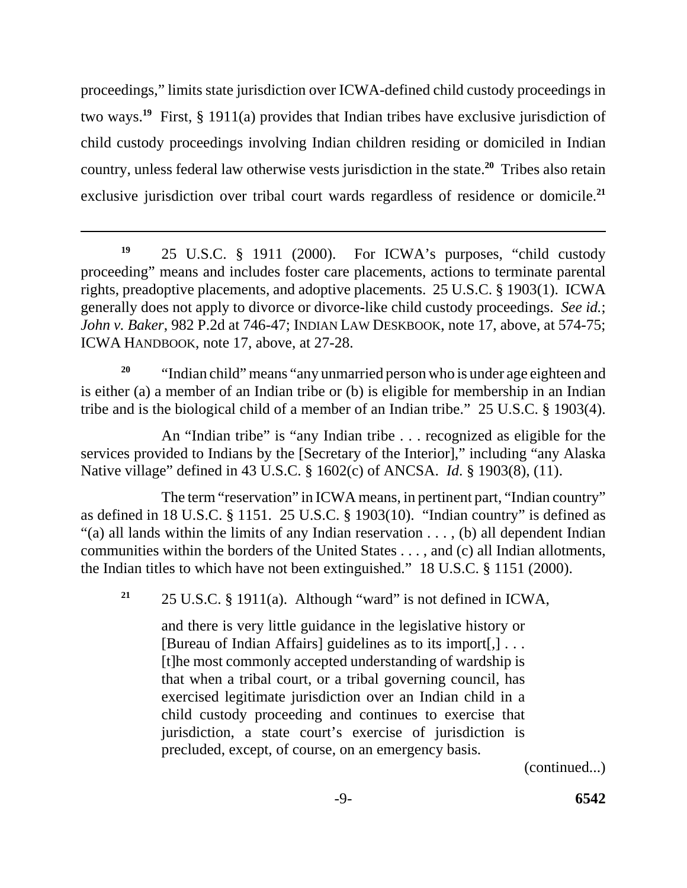proceedings," limits state jurisdiction over ICWA-defined child custody proceedings in two ways.**<sup>19</sup>** First, § 1911(a) provides that Indian tribes have exclusive jurisdiction of child custody proceedings involving Indian children residing or domiciled in Indian country, unless federal law otherwise vests jurisdiction in the state.**<sup>20</sup>** Tribes also retain exclusive jurisdiction over tribal court wards regardless of residence or domicile.**<sup>21</sup>**

**<sup>19</sup>**25 U.S.C. § 1911 (2000). For ICWA's purposes, "child custody proceeding" means and includes foster care placements, actions to terminate parental rights, preadoptive placements, and adoptive placements. 25 U.S.C. § 1903(1). ICWA generally does not apply to divorce or divorce-like child custody proceedings. *See id.*; *John v. Baker*, 982 P.2d at 746-47; INDIAN LAW DESKBOOK, note 17, above, at 574-75; ICWA HANDBOOK, note 17, above, at 27-28.

<sup>20</sup> "Indian child" means "any unmarried person who is under age eighteen and is either (a) a member of an Indian tribe or (b) is eligible for membership in an Indian tribe and is the biological child of a member of an Indian tribe." 25 U.S.C. § 1903(4).

An "Indian tribe" is "any Indian tribe . . . recognized as eligible for the services provided to Indians by the [Secretary of the Interior]," including "any Alaska Native village" defined in 43 U.S.C. § 1602(c) of ANCSA. *Id*. § 1903(8), (11).

The term "reservation" in ICWA means, in pertinent part, "Indian country" as defined in 18 U.S.C. § 1151. 25 U.S.C. § 1903(10). "Indian country" is defined as "(a) all lands within the limits of any Indian reservation . . . , (b) all dependent Indian communities within the borders of the United States . . . , and (c) all Indian allotments, the Indian titles to which have not been extinguished." 18 U.S.C. § 1151 (2000).

<sup>21</sup> 25 U.S.C. § 1911(a). Although "ward" is not defined in ICWA,

and there is very little guidance in the legislative history or [Bureau of Indian Affairs] guidelines as to its import[,] . . . [t]he most commonly accepted understanding of wardship is that when a tribal court, or a tribal governing council, has exercised legitimate jurisdiction over an Indian child in a child custody proceeding and continues to exercise that jurisdiction, a state court's exercise of jurisdiction is precluded, except, of course, on an emergency basis.

(continued...)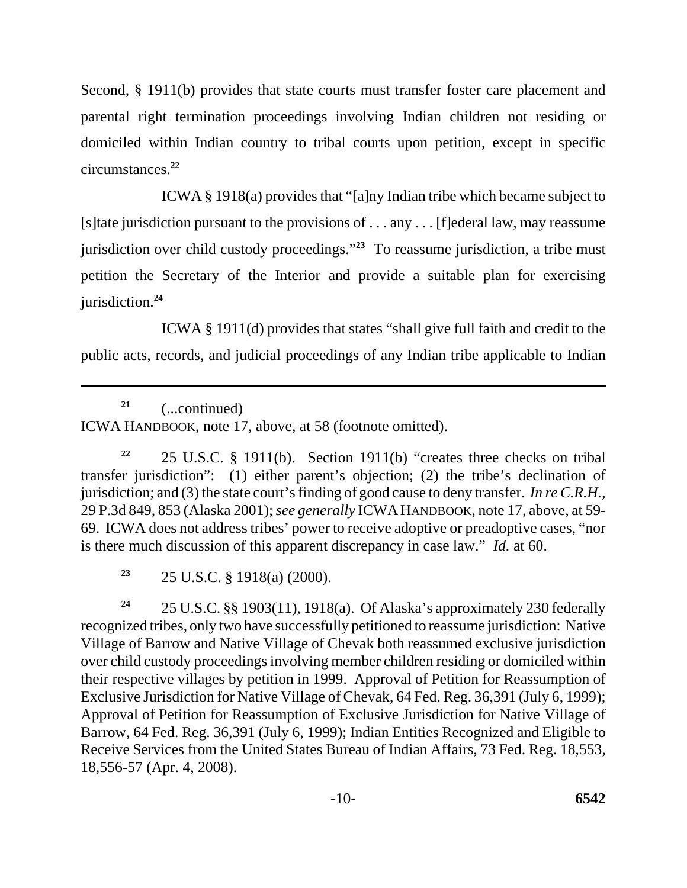Second, § 1911(b) provides that state courts must transfer foster care placement and parental right termination proceedings involving Indian children not residing or domiciled within Indian country to tribal courts upon petition, except in specific circumstances.**<sup>22</sup>**

ICWA § 1918(a) provides that "[a]ny Indian tribe which became subject to [s]tate jurisdiction pursuant to the provisions of . . . any . . . [f]ederal law, may reassume jurisdiction over child custody proceedings."**<sup>23</sup>** To reassume jurisdiction, a tribe must petition the Secretary of the Interior and provide a suitable plan for exercising jurisdiction.**<sup>24</sup>**

ICWA § 1911(d) provides that states "shall give full faith and credit to the public acts, records, and judicial proceedings of any Indian tribe applicable to Indian

**<sup>21</sup>**(...continued) ICWA HANDBOOK, note 17, above, at 58 (footnote omitted).

**<sup>22</sup>**25 U.S.C. § 1911(b). Section 1911(b) "creates three checks on tribal transfer jurisdiction": (1) either parent's objection; (2) the tribe's declination of jurisdiction; and (3) the state court's finding of good cause to deny transfer. *In re C.R.H.*, 29 P.3d 849, 853 (Alaska 2001); *see generally* ICWA HANDBOOK, note 17, above, at 59 69. ICWA does not address tribes' power to receive adoptive or preadoptive cases, "nor is there much discussion of this apparent discrepancy in case law." *Id.* at 60.

**<sup>23</sup>**25 U.S.C. § 1918(a) (2000).

**<sup>24</sup>**25 U.S.C. §§ 1903(11), 1918(a). Of Alaska's approximately 230 federally recognized tribes, only two have successfully petitioned to reassume jurisdiction: Native Village of Barrow and Native Village of Chevak both reassumed exclusive jurisdiction over child custody proceedings involving member children residing or domiciled within their respective villages by petition in 1999. Approval of Petition for Reassumption of Exclusive Jurisdiction for Native Village of Chevak, 64 Fed. Reg. 36,391 (July 6, 1999); Approval of Petition for Reassumption of Exclusive Jurisdiction for Native Village of Barrow, 64 Fed. Reg. 36,391 (July 6, 1999); Indian Entities Recognized and Eligible to Receive Services from the United States Bureau of Indian Affairs, 73 Fed. Reg. 18,553, 18,556-57 (Apr. 4, 2008).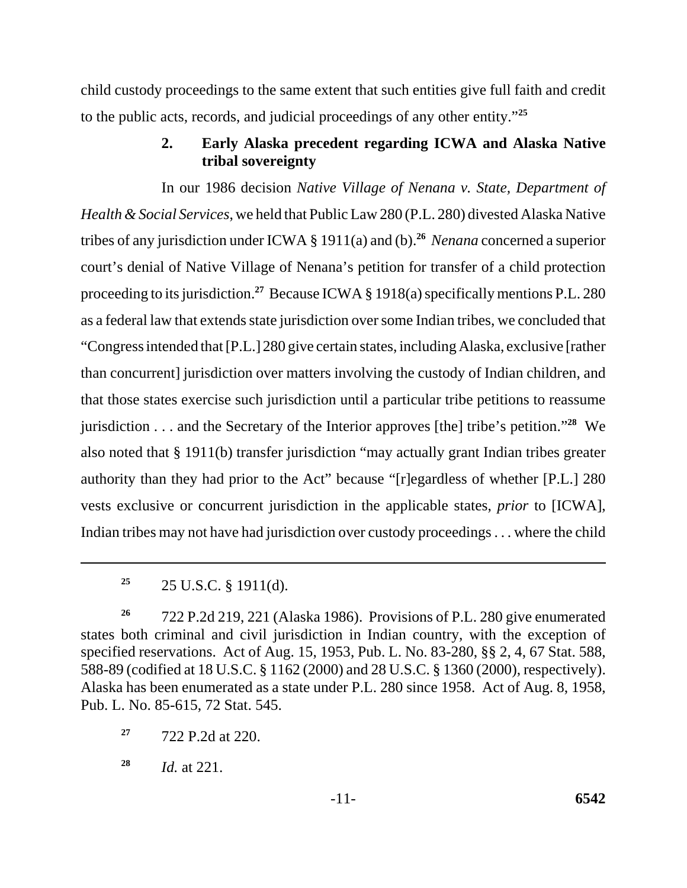child custody proceedings to the same extent that such entities give full faith and credit to the public acts, records, and judicial proceedings of any other entity."**<sup>25</sup>**

## **2. Early Alaska precedent regarding ICWA and Alaska Native tribal sovereignty**

 tribes of any jurisdiction under ICWA § 1911(a) and (b).**<sup>26</sup>***Nenana* concerned a superior In our 1986 decision *Native Village of Nenana v. State, Department of Health & Social Services*, we held that Public Law 280 (P.L. 280) divested Alaska Native court's denial of Native Village of Nenana's petition for transfer of a child protection proceeding to its jurisdiction.**<sup>27</sup>** Because ICWA § 1918(a) specifically mentions P.L. 280 as a federal law that extends state jurisdiction over some Indian tribes, we concluded that "Congress intended that [P.L.] 280 give certain states, including Alaska, exclusive [rather than concurrent] jurisdiction over matters involving the custody of Indian children, and that those states exercise such jurisdiction until a particular tribe petitions to reassume jurisdiction . . . and the Secretary of the Interior approves [the] tribe's petition."**<sup>28</sup>** We also noted that § 1911(b) transfer jurisdiction "may actually grant Indian tribes greater authority than they had prior to the Act" because "[r]egardless of whether [P.L.] 280 vests exclusive or concurrent jurisdiction in the applicable states, *prior* to [ICWA], Indian tribes may not have had jurisdiction over custody proceedings . . . where the child

<sup>&</sup>lt;sup>25</sup> 25 U.S.C. § 1911(d).

**<sup>26</sup>**722 P.2d 219, 221 (Alaska 1986). Provisions of P.L. 280 give enumerated states both criminal and civil jurisdiction in Indian country, with the exception of specified reservations. Act of Aug. 15, 1953, Pub. L. No. 83-280, §§ 2, 4, 67 Stat. 588, 588-89 (codified at 18 U.S.C. § 1162 (2000) and 28 U.S.C. § 1360 (2000), respectively). Alaska has been enumerated as a state under P.L. 280 since 1958. Act of Aug. 8, 1958, Pub. L. No. 85-615, 72 Stat. 545.

**<sup>27</sup>**722 P.2d at 220.

**<sup>28</sup>***Id.* at 221.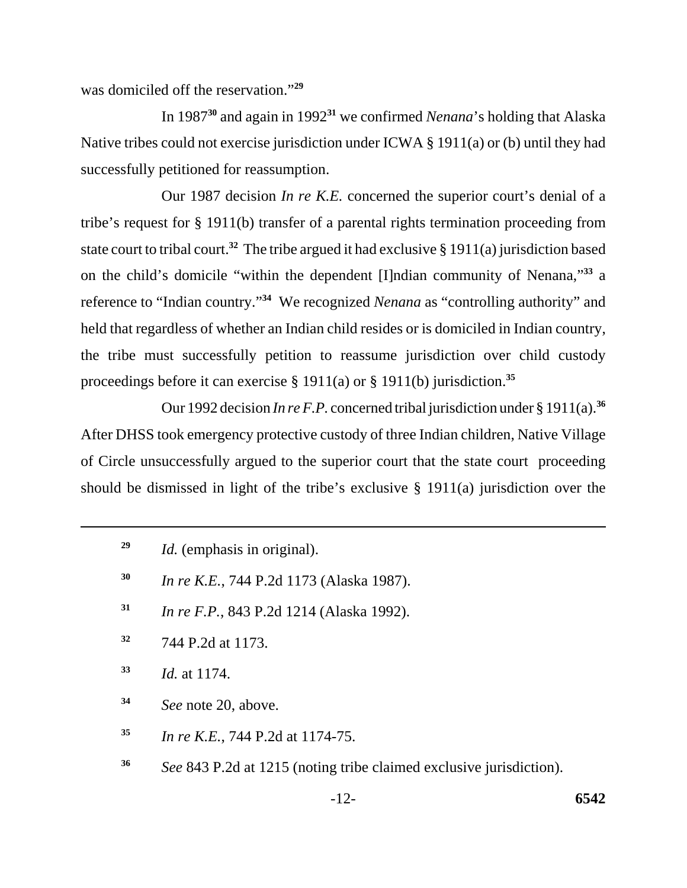was domiciled off the reservation."**<sup>29</sup>**

In 1987**<sup>30</sup>** and again in 1992**<sup>31</sup>** we confirmed *Nenana*'s holding that Alaska Native tribes could not exercise jurisdiction under ICWA § 1911(a) or (b) until they had successfully petitioned for reassumption.

Our 1987 decision *In re K.E.* concerned the superior court's denial of a tribe's request for § 1911(b) transfer of a parental rights termination proceeding from state court to tribal court.**<sup>32</sup>** The tribe argued it had exclusive § 1911(a) jurisdiction based on the child's domicile "within the dependent [I]ndian community of Nenana,"**<sup>33</sup>** a reference to "Indian country."**<sup>34</sup>** We recognized *Nenana* as "controlling authority" and held that regardless of whether an Indian child resides or is domiciled in Indian country, the tribe must successfully petition to reassume jurisdiction over child custody proceedings before it can exercise § 1911(a) or § 1911(b) jurisdiction.**<sup>35</sup>**

Our 1992 decision *In re F.P.* concerned tribal jurisdiction under § 1911(a).**<sup>36</sup>** After DHSS took emergency protective custody of three Indian children, Native Village of Circle unsuccessfully argued to the superior court that the state court proceeding should be dismissed in light of the tribe's exclusive § 1911(a) jurisdiction over the

- **30** *In re K.E.*, 744 P.2d 1173 (Alaska 1987).
- **31** *In re F.P.*, 843 P.2d 1214 (Alaska 1992).
- **32** 744 P.2d at 1173.
- **<sup>33</sup>***Id.* at 1174.
- **<sup>34</sup>***See* note 20, above.
- **<sup>35</sup>***In re K.E.*, 744 P.2d at 1174-75.
- **<sup>36</sup>***See* 843 P.2d at 1215 (noting tribe claimed exclusive jurisdiction).

**<sup>29</sup>** *Id.* (emphasis in original).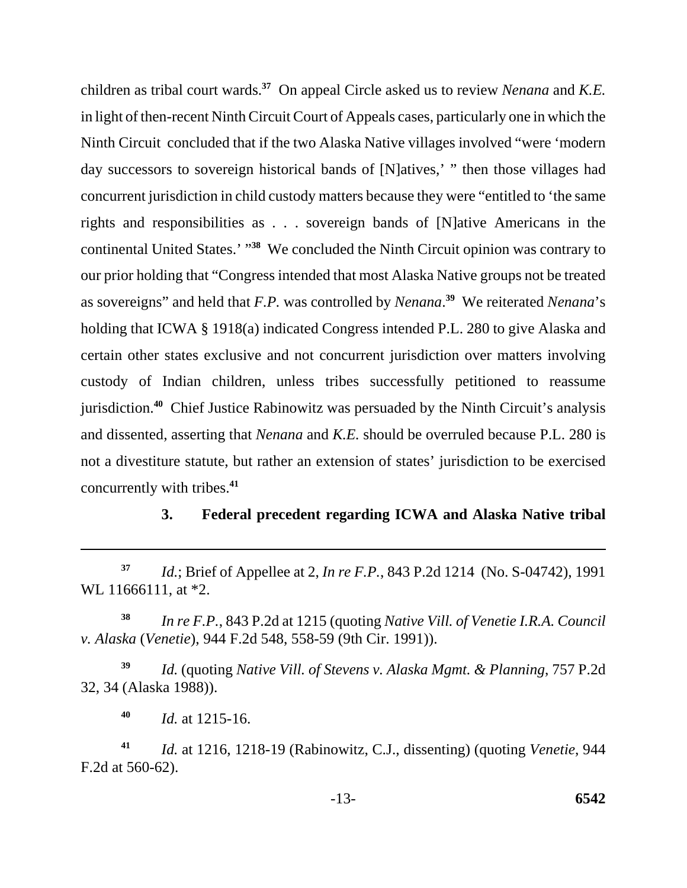children as tribal court wards.**<sup>37</sup>** On appeal Circle asked us to review *Nenana* and *K.E.*  in light of then-recent Ninth Circuit Court of Appeals cases, particularly one in which the Ninth Circuit concluded that if the two Alaska Native villages involved "were 'modern day successors to sovereign historical bands of [N]atives,' " then those villages had concurrent jurisdiction in child custody matters because they were "entitled to 'the same rights and responsibilities as . . . sovereign bands of [N]ative Americans in the continental United States.' "**<sup>38</sup>** We concluded the Ninth Circuit opinion was contrary to our prior holding that "Congress intended that most Alaska Native groups not be treated as sovereigns" and held that *F.P.* was controlled by *Nenana*. **<sup>39</sup>** We reiterated *Nenana*'s holding that ICWA § 1918(a) indicated Congress intended P.L. 280 to give Alaska and certain other states exclusive and not concurrent jurisdiction over matters involving custody of Indian children, unless tribes successfully petitioned to reassume jurisdiction.**<sup>40</sup>** Chief Justice Rabinowitz was persuaded by the Ninth Circuit's analysis and dissented, asserting that *Nenana* and *K.E.* should be overruled because P.L. 280 is not a divestiture statute, but rather an extension of states' jurisdiction to be exercised concurrently with tribes.**<sup>41</sup>**

### **3. Federal precedent regarding ICWA and Alaska Native tribal**

**<sup>38</sup>***In re F.P.*, 843 P.2d at 1215 (quoting *Native Vill. of Venetie I.R.A. Council v. Alaska* (*Venetie*), 944 F.2d 548, 558-59 (9th Cir. 1991)).

**<sup>39</sup>***Id.* (quoting *Native Vill. of Stevens v. Alaska Mgmt. & Planning*, 757 P.2d 32, 34 (Alaska 1988)).

**<sup>40</sup>***Id.* at 1215-16.

**<sup>41</sup>***Id.* at 1216, 1218-19 (Rabinowitz, C.J., dissenting) (quoting *Venetie*, 944 F.2d at 560-62).

**<sup>37</sup>***Id.*; Brief of Appellee at 2, *In re F.P.*, 843 P.2d 1214 (No. S-04742), 1991 WL 11666111, at \*2.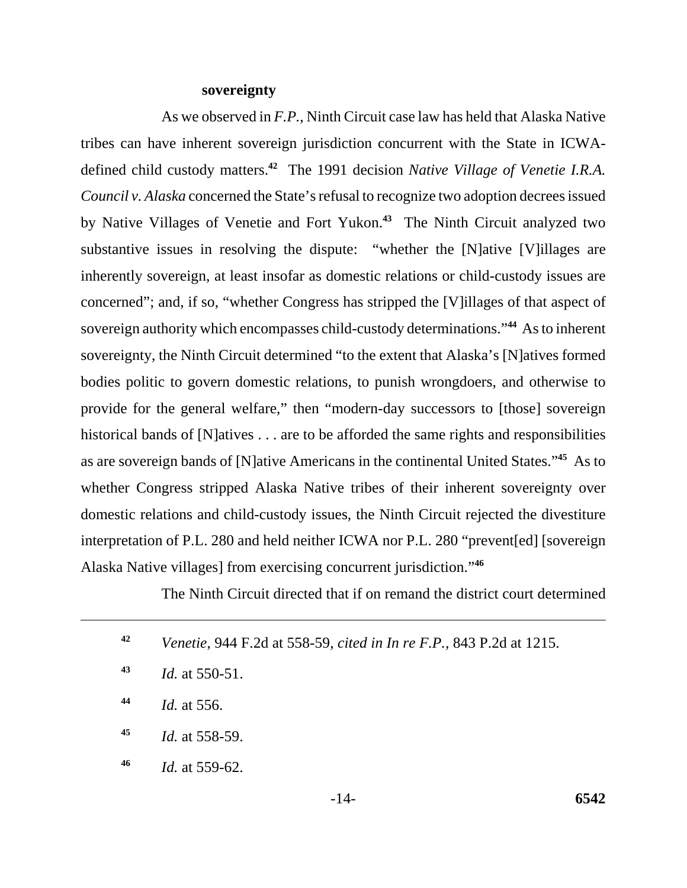#### **sovereignty**

As we observed in *F.P.*, Ninth Circuit case law has held that Alaska Native tribes can have inherent sovereign jurisdiction concurrent with the State in ICWAdefined child custody matters.**<sup>42</sup>** The 1991 decision *Native Village of Venetie I.R.A. Council v. Alaska* concerned the State's refusal to recognize two adoption decrees issued by Native Villages of Venetie and Fort Yukon.**<sup>43</sup>** The Ninth Circuit analyzed two substantive issues in resolving the dispute: "whether the [N]ative [V]illages are inherently sovereign, at least insofar as domestic relations or child-custody issues are concerned"; and, if so, "whether Congress has stripped the [V]illages of that aspect of sovereign authority which encompasses child-custody determinations."**<sup>44</sup>** As to inherent sovereignty, the Ninth Circuit determined "to the extent that Alaska's [N]atives formed bodies politic to govern domestic relations, to punish wrongdoers, and otherwise to provide for the general welfare," then "modern-day successors to [those] sovereign historical bands of [N]atives . . . are to be afforded the same rights and responsibilities as are sovereign bands of [N]ative Americans in the continental United States."**<sup>45</sup>** As to whether Congress stripped Alaska Native tribes of their inherent sovereignty over domestic relations and child-custody issues, the Ninth Circuit rejected the divestiture interpretation of P.L. 280 and held neither ICWA nor P.L. 280 "prevent[ed] [sovereign Alaska Native villages] from exercising concurrent jurisdiction."**<sup>46</sup>**

The Ninth Circuit directed that if on remand the district court determined

| 42 | <i>Venetie</i> , 944 F.2d at 558-59, <i>cited in In re F.P.</i> , 843 P.2d at 1215. |
|----|-------------------------------------------------------------------------------------|
| 43 | <i>Id.</i> at 550-51.                                                               |
| 44 | <i>Id.</i> at 556.                                                                  |
| 45 | <i>Id.</i> at 558-59.                                                               |
| 46 | <i>Id.</i> at 559-62.                                                               |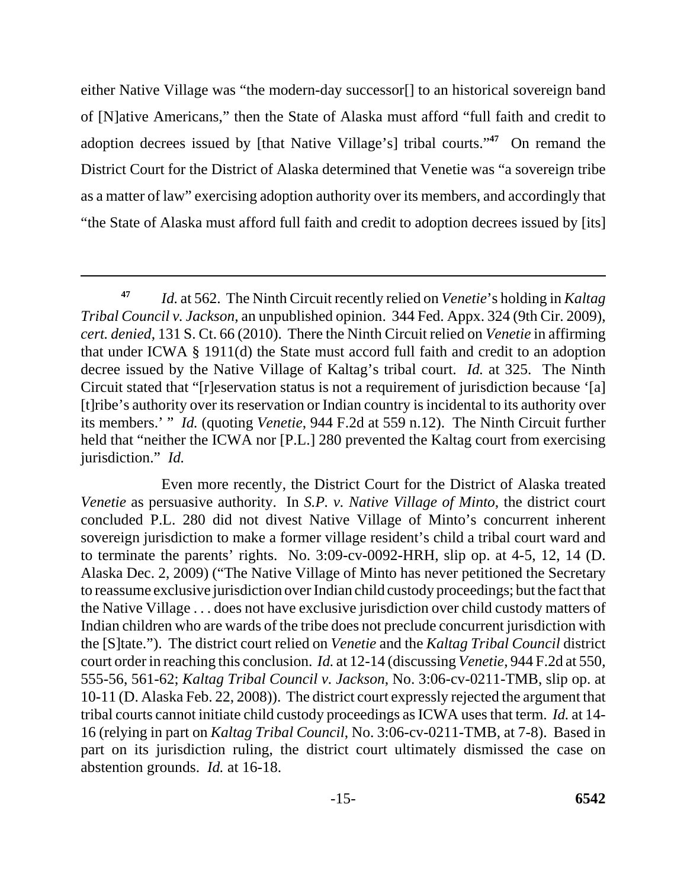either Native Village was "the modern-day successor[] to an historical sovereign band of [N]ative Americans," then the State of Alaska must afford "full faith and credit to adoption decrees issued by [that Native Village's] tribal courts."**<sup>47</sup>** On remand the District Court for the District of Alaska determined that Venetie was "a sovereign tribe as a matter of law" exercising adoption authority over its members, and accordingly that "the State of Alaska must afford full faith and credit to adoption decrees issued by [its]

 its members.' " *Id.* (quoting *Venetie*, 944 F.2d at 559 n.12). The Ninth Circuit further **<sup>47</sup>***Id.* at 562. The Ninth Circuit recently relied on *Venetie*'s holding in *Kaltag Tribal Council v. Jackson*, an unpublished opinion. 344 Fed. Appx. 324 (9th Cir. 2009), *cert. denied*, 131 S. Ct. 66 (2010). There the Ninth Circuit relied on *Venetie* in affirming that under ICWA § 1911(d) the State must accord full faith and credit to an adoption decree issued by the Native Village of Kaltag's tribal court. *Id.* at 325. The Ninth Circuit stated that "[r]eservation status is not a requirement of jurisdiction because '[a] [t]ribe's authority over its reservation or Indian country is incidental to its authority over held that "neither the ICWA nor [P.L.] 280 prevented the Kaltag court from exercising jurisdiction." *Id.* 

Even more recently, the District Court for the District of Alaska treated *Venetie* as persuasive authority. In *S.P. v. Native Village of Minto*, the district court concluded P.L. 280 did not divest Native Village of Minto's concurrent inherent sovereign jurisdiction to make a former village resident's child a tribal court ward and to terminate the parents' rights. No. 3:09-cv-0092-HRH, slip op. at 4-5, 12, 14 (D. Alaska Dec. 2, 2009) ("The Native Village of Minto has never petitioned the Secretary to reassume exclusive jurisdiction over Indian child custody proceedings; but the fact that the Native Village . . . does not have exclusive jurisdiction over child custody matters of Indian children who are wards of the tribe does not preclude concurrent jurisdiction with the [S]tate."). The district court relied on *Venetie* and the *Kaltag Tribal Council* district court order in reaching this conclusion. *Id.* at 12-14 (discussing *Venetie*, 944 F.2d at 550, 555-56, 561-62; *Kaltag Tribal Council v. Jackson*, No. 3:06-cv-0211-TMB, slip op. at 10-11 (D. Alaska Feb. 22, 2008)). The district court expressly rejected the argument that tribal courts cannot initiate child custody proceedings as ICWA uses that term. *Id.* at 14 16 (relying in part on *Kaltag Tribal Council*, No. 3:06-cv-0211-TMB, at 7-8). Based in part on its jurisdiction ruling, the district court ultimately dismissed the case on abstention grounds. *Id.* at 16-18.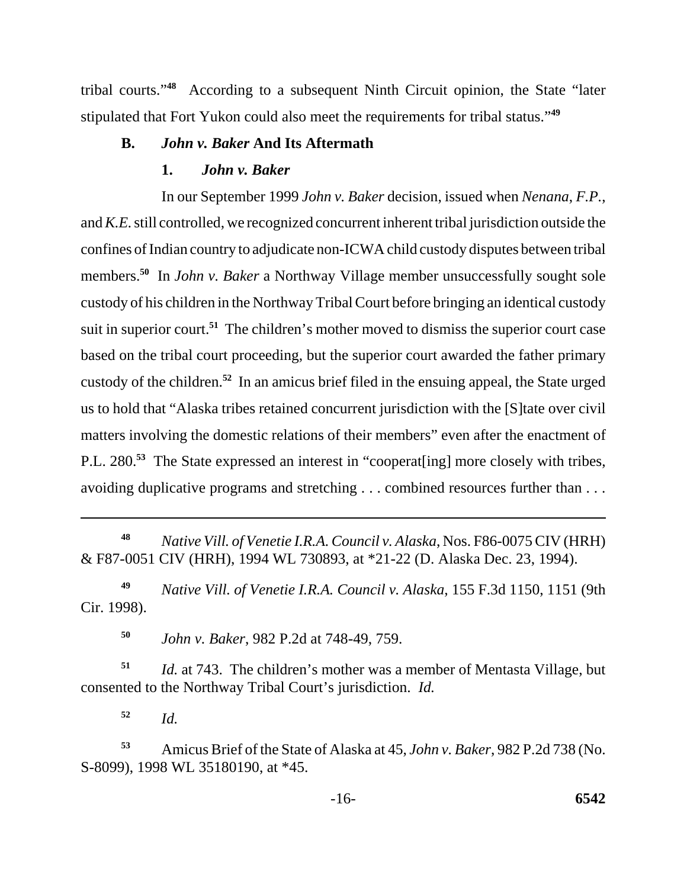tribal courts."**<sup>48</sup>** According to a subsequent Ninth Circuit opinion, the State "later stipulated that Fort Yukon could also meet the requirements for tribal status."**<sup>49</sup>**

## **B.** *John v. Baker* **And Its Aftermath**

## **1.** *John v. Baker*

In our September 1999 *John v. Baker* decision, issued when *Nenana*, *F.P.*, and *K.E.* still controlled, we recognized concurrent inherent tribal jurisdiction outside the confines of Indian country to adjudicate non-ICWA child custody disputes between tribal members.**<sup>50</sup>** In *John v. Baker* a Northway Village member unsuccessfully sought sole custody of his children in the Northway Tribal Court before bringing an identical custody suit in superior court.<sup>51</sup> The children's mother moved to dismiss the superior court case based on the tribal court proceeding, but the superior court awarded the father primary custody of the children.**<sup>52</sup>** In an amicus brief filed in the ensuing appeal, the State urged us to hold that "Alaska tribes retained concurrent jurisdiction with the [S]tate over civil matters involving the domestic relations of their members" even after the enactment of P.L. 280.**<sup>53</sup>** The State expressed an interest in "cooperat[ing] more closely with tribes, avoiding duplicative programs and stretching . . . combined resources further than . . .

**<sup>48</sup>***Native Vill. of Venetie I.R.A. Council v. Alaska*, Nos. F86-0075 CIV (HRH) & F87-0051 CIV (HRH), 1994 WL 730893, at \*21-22 (D. Alaska Dec. 23, 1994).

**<sup>49</sup>***Native Vill. of Venetie I.R.A. Council v. Alaska*, 155 F.3d 1150, 1151 (9th Cir. 1998).

**<sup>50</sup>***John v. Baker*, 982 P.2d at 748-49, 759.

**<sup>51</sup>***Id.* at 743. The children's mother was a member of Mentasta Village, but consented to the Northway Tribal Court's jurisdiction. *Id.* 

**<sup>52</sup>***Id.* 

**<sup>53</sup>**Amicus Brief of the State of Alaska at 45, *John v. Baker*, 982 P.2d 738 (No. S-8099), 1998 WL 35180190, at \*45.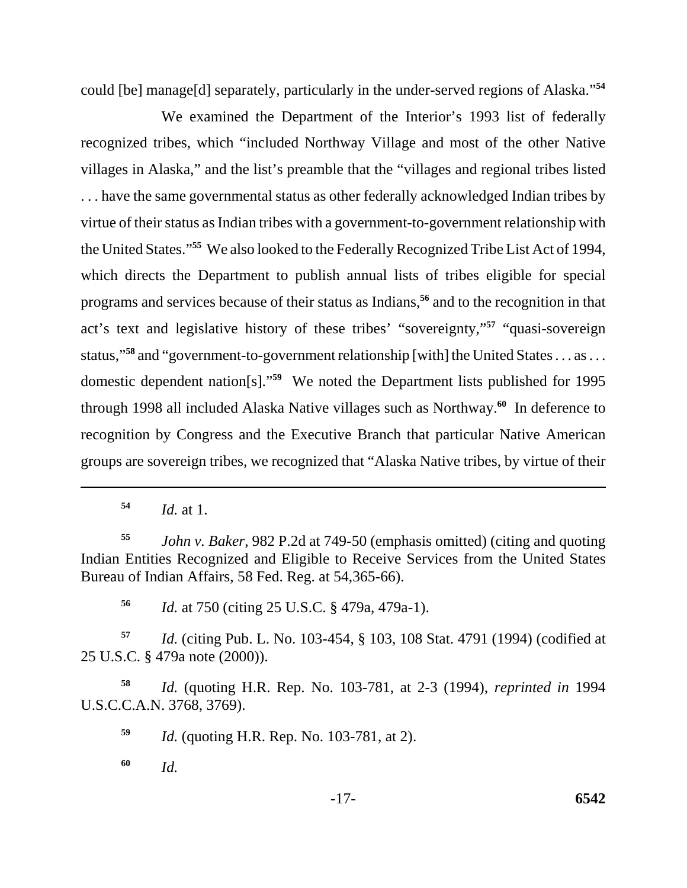could [be] manage[d] separately, particularly in the under-served regions of Alaska."**<sup>54</sup>**

We examined the Department of the Interior's 1993 list of federally recognized tribes, which "included Northway Village and most of the other Native villages in Alaska," and the list's preamble that the "villages and regional tribes listed . . . have the same governmental status as other federally acknowledged Indian tribes by virtue of their status as Indian tribes with a government-to-government relationship with the United States."**<sup>55</sup>** We also looked to the Federally Recognized Tribe List Act of 1994, which directs the Department to publish annual lists of tribes eligible for special programs and services because of their status as Indians,**<sup>56</sup>** and to the recognition in that act's text and legislative history of these tribes' "sovereignty,"**<sup>57</sup>** "quasi-sovereign status,"**<sup>58</sup>** and "government-to-government relationship [with] the United States . . . as . . . domestic dependent nation[s]."**<sup>59</sup>** We noted the Department lists published for 1995 through 1998 all included Alaska Native villages such as Northway.**<sup>60</sup>** In deference to recognition by Congress and the Executive Branch that particular Native American groups are sovereign tribes, we recognized that "Alaska Native tribes, by virtue of their

**<sup>54</sup>***Id.* at 1.

**<sup>55</sup>***John v. Baker*, 982 P.2d at 749-50 (emphasis omitted) (citing and quoting Indian Entities Recognized and Eligible to Receive Services from the United States Bureau of Indian Affairs, 58 Fed. Reg. at 54,365-66).

**<sup>56</sup>***Id.* at 750 (citing 25 U.S.C. § 479a, 479a-1).

**<sup>57</sup>***Id.* (citing Pub. L. No. 103-454, § 103, 108 Stat. 4791 (1994) (codified at 25 U.S.C. § 479a note (2000)).

**<sup>58</sup>***Id.* (quoting H.R. Rep. No. 103-781, at 2-3 (1994), *reprinted in* 1994 U.S.C.C.A.N. 3768, 3769).

**<sup>59</sup>***Id.* (quoting H.R. Rep. No. 103-781, at 2).

**<sup>60</sup>***Id.*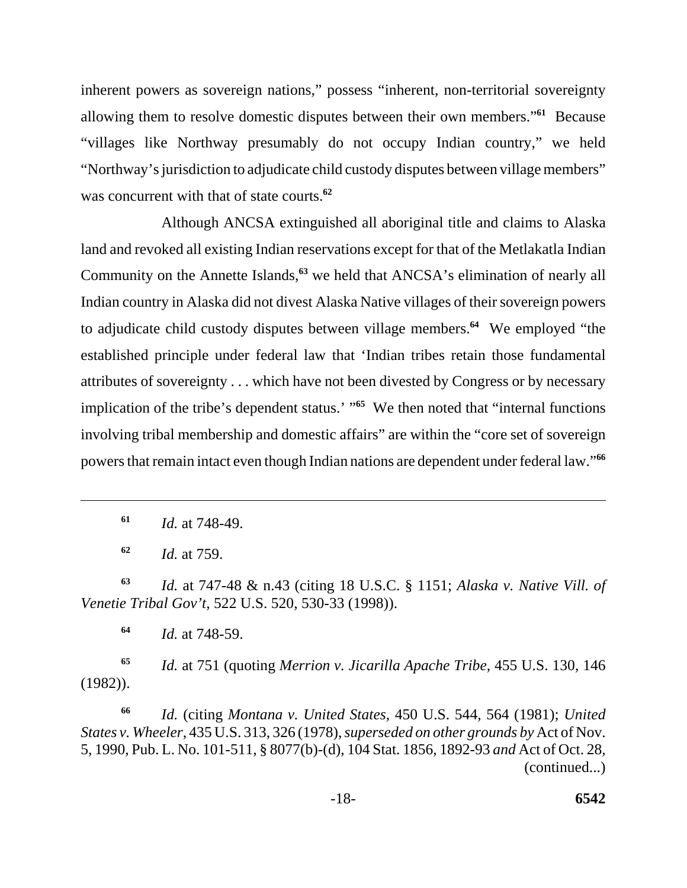inherent powers as sovereign nations," possess "inherent, non-territorial sovereignty allowing them to resolve domestic disputes between their own members."**<sup>61</sup>** Because "villages like Northway presumably do not occupy Indian country," we held "Northway's jurisdiction to adjudicate child custody disputes between village members" was concurrent with that of state courts.**<sup>62</sup>**

Although ANCSA extinguished all aboriginal title and claims to Alaska land and revoked all existing Indian reservations except for that of the Metlakatla Indian Community on the Annette Islands,**<sup>63</sup>** we held that ANCSA's elimination of nearly all Indian country in Alaska did not divest Alaska Native villages of their sovereign powers to adjudicate child custody disputes between village members.**<sup>64</sup>** We employed "the established principle under federal law that 'Indian tribes retain those fundamental attributes of sovereignty . . . which have not been divested by Congress or by necessary implication of the tribe's dependent status.' "**<sup>65</sup>** We then noted that "internal functions involving tribal membership and domestic affairs" are within the "core set of sovereign powers that remain intact even though Indian nations are dependent under federal law."**<sup>66</sup>**

**<sup>61</sup>***Id.* at 748-49.

**<sup>62</sup>***Id.* at 759.

**<sup>63</sup>***Id.* at 747-48 & n.43 (citing 18 U.S.C. § 1151; *Alaska v. Native Vill. of Venetie Tribal Gov't*, 522 U.S. 520, 530-33 (1998)).

**<sup>64</sup>***Id.* at 748-59.

**<sup>65</sup>***Id.* at 751 (quoting *Merrion v. Jicarilla Apache Tribe*, 455 U.S. 130, 146 (1982)).

*Id.* (citing *Montana v. United States*, 450 U.S. 544, 564 (1981); *United States v. Wheeler*, 435 U.S. 313, 326 (1978), *superseded on other grounds by* Act of Nov. 5, 1990, Pub. L. No. 101-511, § 8077(b)-(d), 104 Stat. 1856, 1892-93 *and* Act of Oct. 28, (continued...) **66**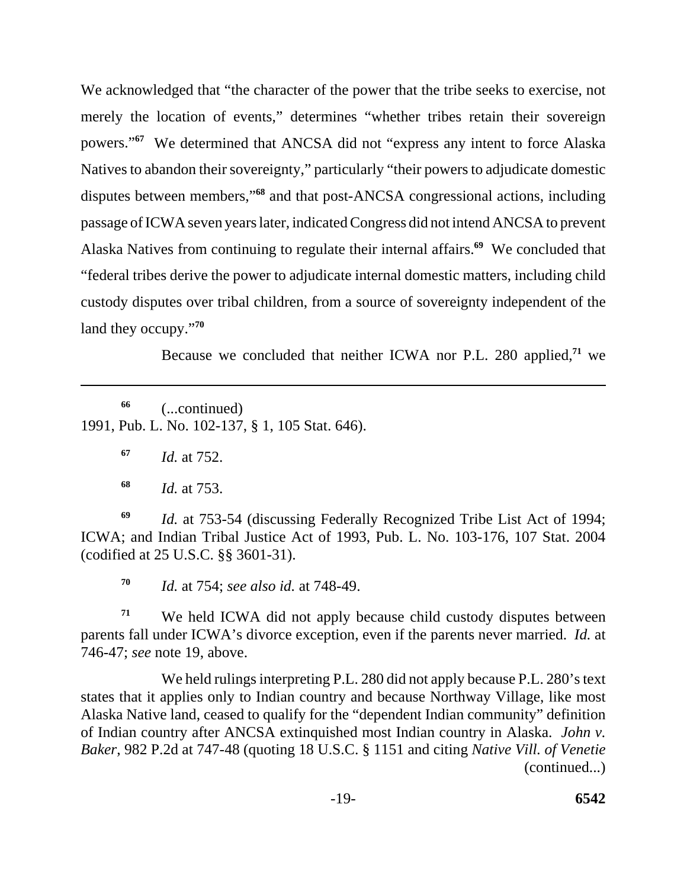We acknowledged that "the character of the power that the tribe seeks to exercise, not merely the location of events," determines "whether tribes retain their sovereign powers."**<sup>67</sup>** We determined that ANCSA did not "express any intent to force Alaska Natives to abandon their sovereignty," particularly "their powers to adjudicate domestic disputes between members,"**<sup>68</sup>** and that post-ANCSA congressional actions, including passage of ICWA seven years later, indicated Congress did not intend ANCSA to prevent Alaska Natives from continuing to regulate their internal affairs.**<sup>69</sup>** We concluded that "federal tribes derive the power to adjudicate internal domestic matters, including child custody disputes over tribal children, from a source of sovereignty independent of the land they occupy."**<sup>70</sup>**

Because we concluded that neither ICWA nor P.L. 280 applied,**<sup>71</sup>** we

**66** (...continued) 1991, Pub. L. No. 102-137, § 1, 105 Stat. 646).

**<sup>67</sup>***Id.* at 752.

**<sup>68</sup>***Id.* at 753.

**<sup>69</sup>***Id.* at 753-54 (discussing Federally Recognized Tribe List Act of 1994; ICWA; and Indian Tribal Justice Act of 1993, Pub. L. No. 103-176, 107 Stat. 2004 (codified at 25 U.S.C. §§ 3601-31).

**<sup>70</sup>***Id.* at 754; *see also id.* at 748-49.

 parents fall under ICWA's divorce exception, even if the parents never married. *Id.* at <sup>71</sup> We held ICWA did not apply because child custody disputes between 746-47; *see* note 19, above.

We held rulings interpreting P.L. 280 did not apply because P.L. 280's text states that it applies only to Indian country and because Northway Village, like most Alaska Native land, ceased to qualify for the "dependent Indian community" definition of Indian country after ANCSA extinquished most Indian country in Alaska. *John v. Baker*, 982 P.2d at 747-48 (quoting 18 U.S.C. § 1151 and citing *Native Vill. of Venetie*  (continued...)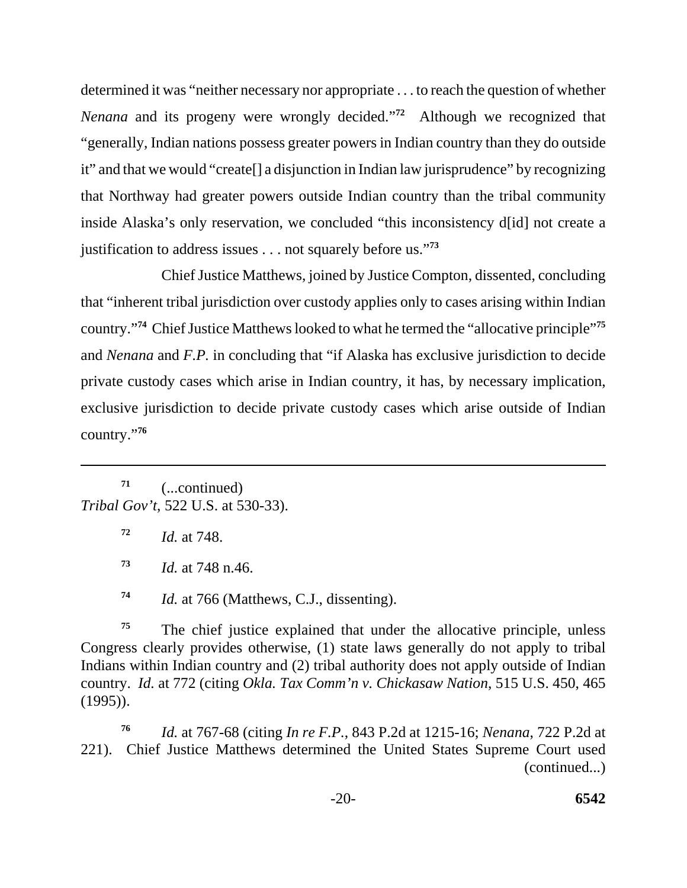determined it was "neither necessary nor appropriate . . . to reach the question of whether *Nenana* and its progeny were wrongly decided."**<sup>72</sup>** Although we recognized that "generally, Indian nations possess greater powers in Indian country than they do outside it" and that we would "create[] a disjunction in Indian law jurisprudence" by recognizing that Northway had greater powers outside Indian country than the tribal community inside Alaska's only reservation, we concluded "this inconsistency d[id] not create a justification to address issues . . . not squarely before us."**<sup>73</sup>**

Chief Justice Matthews, joined by Justice Compton, dissented, concluding that "inherent tribal jurisdiction over custody applies only to cases arising within Indian country."**<sup>74</sup>** Chief Justice Matthews looked to what he termed the "allocative principle"**<sup>75</sup>** and *Nenana* and *F.P.* in concluding that "if Alaska has exclusive jurisdiction to decide private custody cases which arise in Indian country, it has, by necessary implication, exclusive jurisdiction to decide private custody cases which arise outside of Indian country."**<sup>76</sup>**

**71** (...continued) *Tribal Gov't*, 522 U.S. at 530-33).

**<sup>72</sup>***Id.* at 748.

**<sup>73</sup>***Id.* at 748 n.46.

**<sup>74</sup>***Id.* at 766 (Matthews, C.J., dissenting).

<sup>75</sup> The chief justice explained that under the allocative principle, unless Congress clearly provides otherwise, (1) state laws generally do not apply to tribal Indians within Indian country and (2) tribal authority does not apply outside of Indian country. *Id.* at 772 (citing *Okla. Tax Comm'n v. Chickasaw Nation*, 515 U.S. 450, 465 (1995)).

*Id.* at 767-68 (citing *In re F.P.*, 843 P.2d at 1215-16; *Nenana*, 722 P.2d at 221). Chief Justice Matthews determined the United States Supreme Court used (continued...) **76**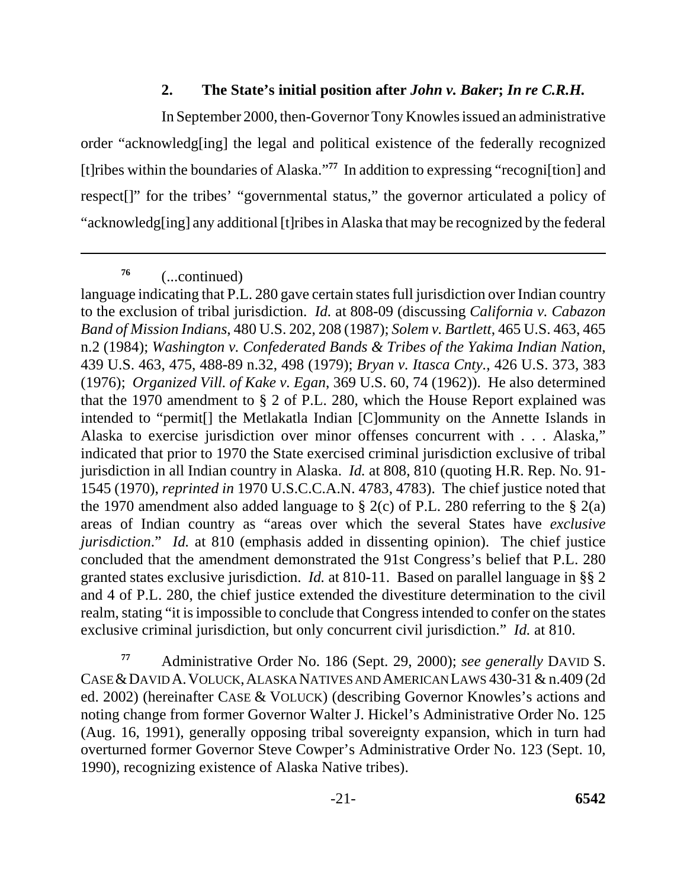## **2. The State's initial position after** *John v. Baker***;** *In re C.R.H.*

In September 2000, then-Governor Tony Knowles issued an administrative order "acknowledg[ing] the legal and political existence of the federally recognized [t]ribes within the boundaries of Alaska."**<sup>77</sup>** In addition to expressing "recogni[tion] and respect[]" for the tribes' "governmental status," the governor articulated a policy of "acknowledg[ing] any additional [t]ribes in Alaska that may be recognized by the federal

**<sup>76</sup>**(...continued)

language indicating that P.L. 280 gave certain states full jurisdiction over Indian country to the exclusion of tribal jurisdiction. *Id.* at 808-09 (discussing *California v. Cabazon Band of Mission Indians*, 480 U.S. 202, 208 (1987); *Solem v. Bartlett*, 465 U.S. 463, 465 n.2 (1984); *Washington v. Confederated Bands & Tribes of the Yakima Indian Nation*, 439 U.S. 463, 475, 488-89 n.32, 498 (1979); *Bryan v. Itasca Cnty.*, 426 U.S. 373, 383 (1976); *Organized Vill. of Kake v. Egan*, 369 U.S. 60, 74 (1962)). He also determined that the 1970 amendment to § 2 of P.L. 280, which the House Report explained was intended to "permit[] the Metlakatla Indian [C]ommunity on the Annette Islands in Alaska to exercise jurisdiction over minor offenses concurrent with . . . Alaska," indicated that prior to 1970 the State exercised criminal jurisdiction exclusive of tribal jurisdiction in all Indian country in Alaska. *Id.* at 808, 810 (quoting H.R. Rep. No. 91 1545 (1970), *reprinted in* 1970 U.S.C.C.A.N. 4783, 4783). The chief justice noted that the 1970 amendment also added language to § 2(c) of P.L. 280 referring to the § 2(a) areas of Indian country as "areas over which the several States have *exclusive jurisdiction.*" *Id.* at 810 (emphasis added in dissenting opinion). The chief justice concluded that the amendment demonstrated the 91st Congress's belief that P.L. 280 granted states exclusive jurisdiction. *Id.* at 810-11. Based on parallel language in §§ 2 and 4 of P.L. 280, the chief justice extended the divestiture determination to the civil realm, stating "it is impossible to conclude that Congress intended to confer on the states exclusive criminal jurisdiction, but only concurrent civil jurisdiction." *Id.* at 810.

CASE & DAVID A. VOLUCK, ALASKA NATIVES AND AMERICAN LAWS 430-31 & n.409 (2d **<sup>77</sup>**Administrative Order No. 186 (Sept. 29, 2000); *see generally* DAVID S. ed. 2002) (hereinafter CASE & VOLUCK) (describing Governor Knowles's actions and noting change from former Governor Walter J. Hickel's Administrative Order No. 125 (Aug. 16, 1991), generally opposing tribal sovereignty expansion, which in turn had overturned former Governor Steve Cowper's Administrative Order No. 123 (Sept. 10, 1990), recognizing existence of Alaska Native tribes).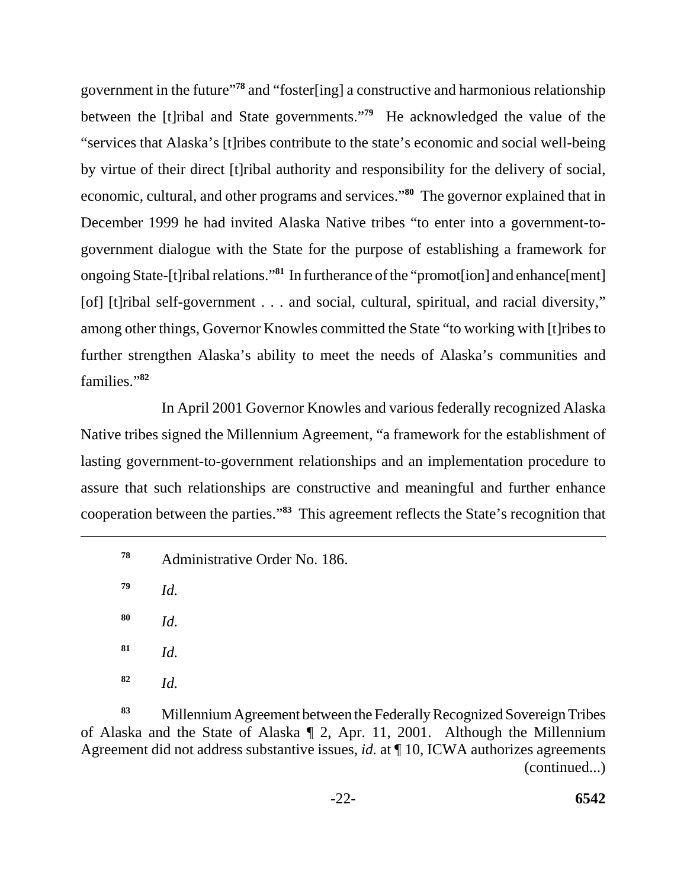government in the future"**<sup>78</sup>** and "foster[ing] a constructive and harmonious relationship between the [t]ribal and State governments."**<sup>79</sup>** He acknowledged the value of the "services that Alaska's [t]ribes contribute to the state's economic and social well-being by virtue of their direct [t]ribal authority and responsibility for the delivery of social, economic, cultural, and other programs and services."**<sup>80</sup>** The governor explained that in December 1999 he had invited Alaska Native tribes "to enter into a government-togovernment dialogue with the State for the purpose of establishing a framework for ongoing State-[t]ribal relations."**<sup>81</sup>** In furtherance of the "promot[ion] and enhance[ment] [of] [t]ribal self-government . . . and social, cultural, spiritual, and racial diversity," among other things, Governor Knowles committed the State "to working with [t]ribes to further strengthen Alaska's ability to meet the needs of Alaska's communities and families."**<sup>82</sup>**

In April 2001 Governor Knowles and various federally recognized Alaska Native tribes signed the Millennium Agreement, "a framework for the establishment of lasting government-to-government relationships and an implementation procedure to assure that such relationships are constructive and meaningful and further enhance cooperation between the parties."**<sup>83</sup>** This agreement reflects the State's recognition that

<sup>78</sup> Administrative Order No. 186.

**<sup>79</sup>***Id.* 

**<sup>80</sup>***Id.* 

**<sup>81</sup>***Id.* 

**<sup>82</sup>***Id.* 

**<sup>83</sup>**Millennium Agreement between the Federally Recognized Sovereign Tribes of Alaska and the State of Alaska ¶ 2, Apr. 11, 2001. Although the Millennium Agreement did not address substantive issues, *id.* at ¶ 10, ICWA authorizes agreements (continued...)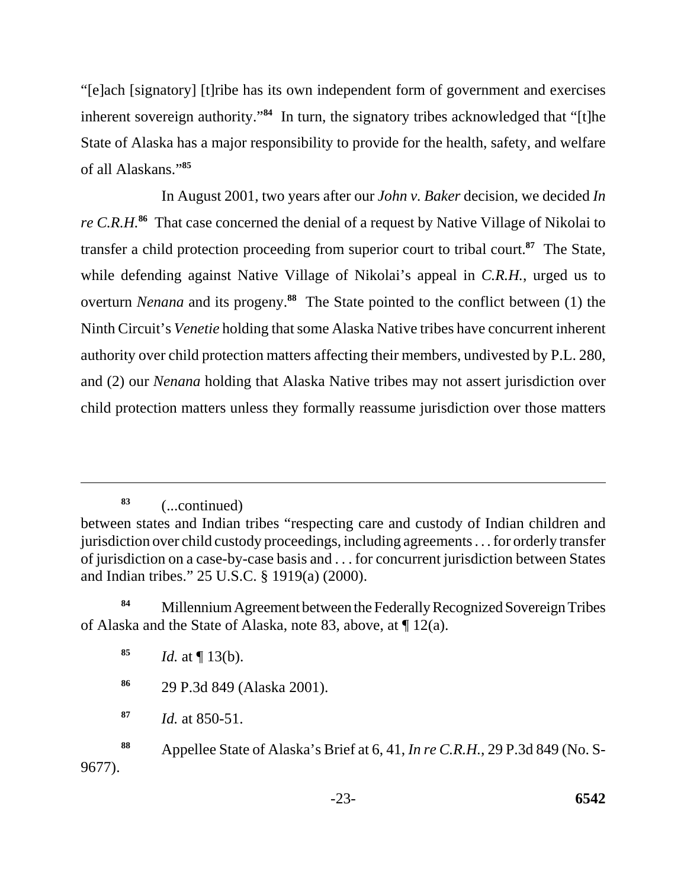"[e]ach [signatory] [t]ribe has its own independent form of government and exercises inherent sovereign authority.<sup>84</sup> In turn, the signatory tribes acknowledged that "[t]he State of Alaska has a major responsibility to provide for the health, safety, and welfare of all Alaskans."**<sup>85</sup>**

In August 2001, two years after our *John v. Baker* decision, we decided *In re C.R.H.***<sup>86</sup>** That case concerned the denial of a request by Native Village of Nikolai to transfer a child protection proceeding from superior court to tribal court.**<sup>87</sup>** The State, while defending against Native Village of Nikolai's appeal in *C.R.H.*, urged us to overturn *Nenana* and its progeny.**<sup>88</sup>** The State pointed to the conflict between (1) the Ninth Circuit's *Venetie* holding that some Alaska Native tribes have concurrent inherent authority over child protection matters affecting their members, undivested by P.L. 280, and (2) our *Nenana* holding that Alaska Native tribes may not assert jurisdiction over child protection matters unless they formally reassume jurisdiction over those matters

**<sup>83</sup>**(...continued)

**<sup>84</sup>**Millennium Agreement between the Federally Recognized Sovereign Tribes of Alaska and the State of Alaska, note 83, above, at ¶ 12(a).

between states and Indian tribes "respecting care and custody of Indian children and jurisdiction over child custody proceedings, including agreements . . . for orderly transfer of jurisdiction on a case-by-case basis and . . . for concurrent jurisdiction between States and Indian tribes." 25 U.S.C. § 1919(a) (2000).

**<sup>85</sup>***Id.* at ¶ 13(b).

**<sup>86</sup>**29 P.3d 849 (Alaska 2001).

**<sup>87</sup>***Id.* at 850-51.

**<sup>88</sup>** Appellee State of Alaska's Brief at 6, 41, *In re C.R.H.*, 29 P.3d 849 (No. S-9677).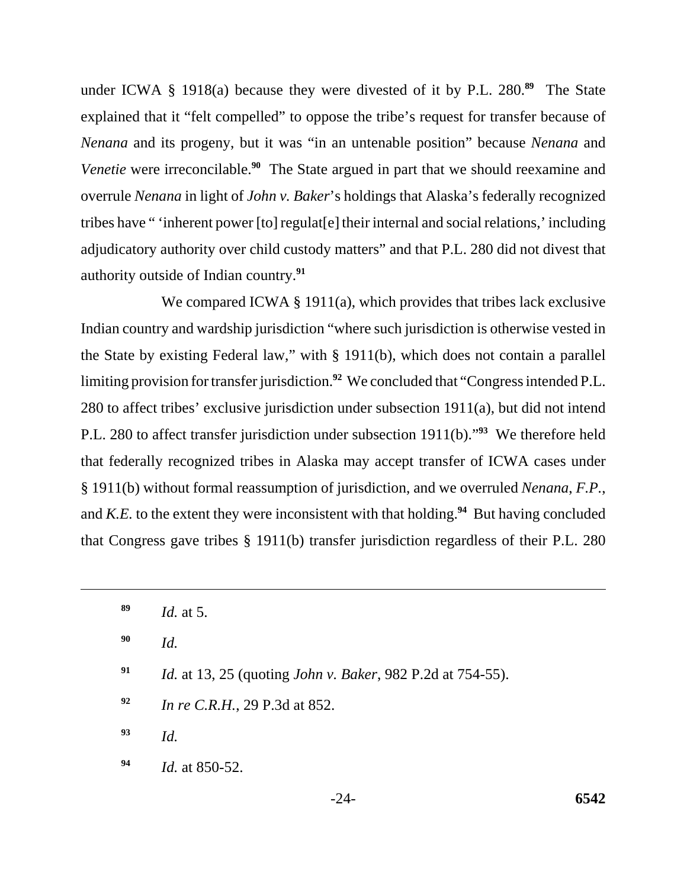under ICWA § 1918(a) because they were divested of it by P.L. 280.**<sup>89</sup>** The State explained that it "felt compelled" to oppose the tribe's request for transfer because of *Nenana* and its progeny, but it was "in an untenable position" because *Nenana* and *Venetie* were irreconcilable.**<sup>90</sup>** The State argued in part that we should reexamine and overrule *Nenana* in light of *John v. Baker*'s holdings that Alaska's federally recognized tribes have " 'inherent power [to] regulat[e] their internal and social relations,' including adjudicatory authority over child custody matters" and that P.L. 280 did not divest that authority outside of Indian country.**<sup>91</sup>**

We compared ICWA § 1911(a), which provides that tribes lack exclusive Indian country and wardship jurisdiction "where such jurisdiction is otherwise vested in the State by existing Federal law," with § 1911(b), which does not contain a parallel limiting provision for transfer jurisdiction.**<sup>92</sup>** We concluded that "Congress intended P.L. 280 to affect tribes' exclusive jurisdiction under subsection 1911(a), but did not intend P.L. 280 to affect transfer jurisdiction under subsection 1911(b)."**<sup>93</sup>** We therefore held that federally recognized tribes in Alaska may accept transfer of ICWA cases under § 1911(b) without formal reassumption of jurisdiction, and we overruled *Nenana*, *F.P.*, and *K.E.* to the extent they were inconsistent with that holding.**<sup>94</sup>** But having concluded that Congress gave tribes § 1911(b) transfer jurisdiction regardless of their P.L. 280

- **90** *Id.*
- **91** *Id.* at 13, 25 (quoting *John v. Baker*, 982 P.2d at 754-55).
- **<sup>92</sup>***In re C.R.H.*, 29 P.3d at 852.
- **<sup>93</sup>***Id.*
- **<sup>94</sup>***Id.* at 850-52.

**<sup>89</sup>** *Id.* at 5.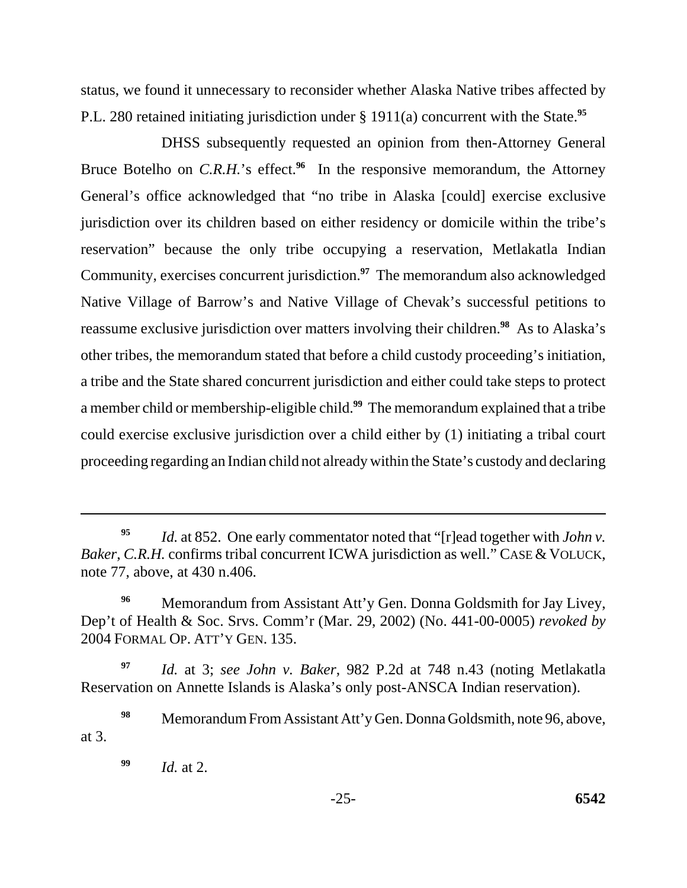P.L. 280 retained initiating jurisdiction under § 1911(a) concurrent with the State.**<sup>95</sup>** status, we found it unnecessary to reconsider whether Alaska Native tribes affected by

DHSS subsequently requested an opinion from then-Attorney General Bruce Botelho on *C.R.H.*'s effect.<sup>96</sup> In the responsive memorandum, the Attorney General's office acknowledged that "no tribe in Alaska [could] exercise exclusive jurisdiction over its children based on either residency or domicile within the tribe's reservation" because the only tribe occupying a reservation, Metlakatla Indian Community, exercises concurrent jurisdiction.**<sup>97</sup>** The memorandum also acknowledged Native Village of Barrow's and Native Village of Chevak's successful petitions to reassume exclusive jurisdiction over matters involving their children.**<sup>98</sup>** As to Alaska's other tribes, the memorandum stated that before a child custody proceeding's initiation, a tribe and the State shared concurrent jurisdiction and either could take steps to protect a member child or membership-eligible child.**<sup>99</sup>** The memorandum explained that a tribe could exercise exclusive jurisdiction over a child either by (1) initiating a tribal court proceeding regarding an Indian child not already within the State's custody and declaring

**<sup>99</sup>***Id.* at 2.

**<sup>95</sup>***Id.* at 852. One early commentator noted that "[r]ead together with *John v. Baker*, *C.R.H.* confirms tribal concurrent ICWA jurisdiction as well." CASE & VOLUCK, note 77, above, at 430 n.406.

<sup>&</sup>lt;sup>96</sup> Memorandum from Assistant Att'y Gen. Donna Goldsmith for Jay Livey, Dep't of Health & Soc. Srvs. Comm'r (Mar. 29, 2002) (No. 441-00-0005) *revoked by*  2004 FORMAL OP. ATT'Y GEN. 135.

**<sup>97</sup>***Id.* at 3; *see John v. Baker*, 982 P.2d at 748 n.43 (noting Metlakatla Reservation on Annette Islands is Alaska's only post-ANSCA Indian reservation).

<sup>&</sup>lt;sup>98</sup> Memorandum From Assistant Att'y Gen. Donna Goldsmith, note 96, above, at 3.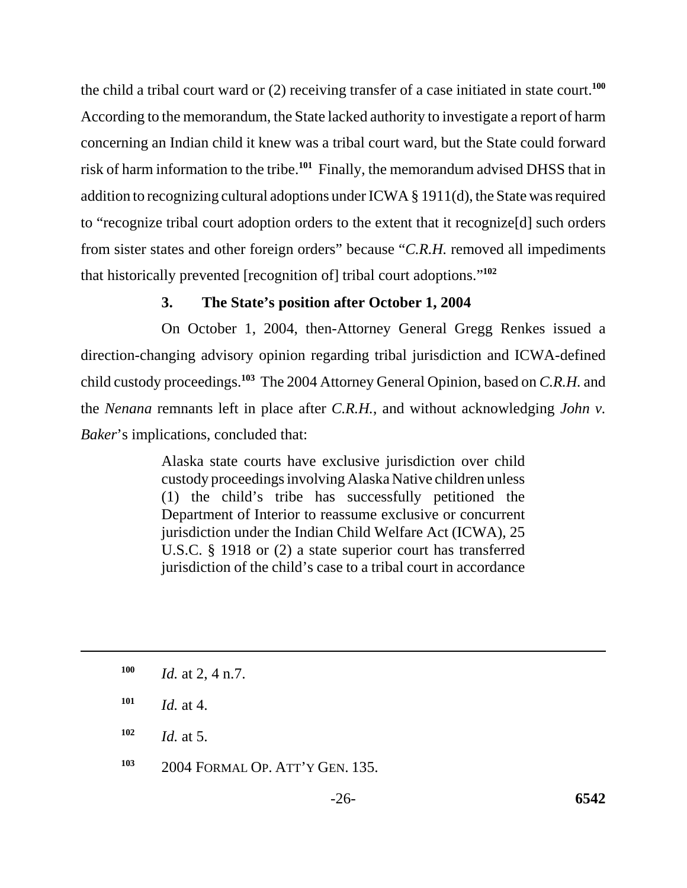the child a tribal court ward or (2) receiving transfer of a case initiated in state court.**<sup>100</sup>** According to the memorandum, the State lacked authority to investigate a report of harm concerning an Indian child it knew was a tribal court ward, but the State could forward risk of harm information to the tribe.**<sup>101</sup>** Finally, the memorandum advised DHSS that in addition to recognizing cultural adoptions under ICWA § 1911(d), the State was required to "recognize tribal court adoption orders to the extent that it recognize[d] such orders from sister states and other foreign orders" because "*C.R.H.* removed all impediments that historically prevented [recognition of] tribal court adoptions."**<sup>102</sup>**

### **3. The State's position after October 1, 2004**

On October 1, 2004, then-Attorney General Gregg Renkes issued a direction-changing advisory opinion regarding tribal jurisdiction and ICWA-defined child custody proceedings.**<sup>103</sup>** The 2004 Attorney General Opinion, based on *C.R.H.* and the *Nenana* remnants left in place after *C.R.H.*, and without acknowledging *John v. Baker*'s implications, concluded that:

> Alaska state courts have exclusive jurisdiction over child custody proceedings involving Alaska Native children unless (1) the child's tribe has successfully petitioned the Department of Interior to reassume exclusive or concurrent jurisdiction under the Indian Child Welfare Act (ICWA), 25 U.S.C. § 1918 or (2) a state superior court has transferred jurisdiction of the child's case to a tribal court in accordance

- $101$  *Id.* at 4.
- $102$  *Id.* at 5.
- **103** 2004 FORMAL OP. ATT'Y GEN. 135.

**<sup>100</sup>** *Id.* at 2, 4 n.7.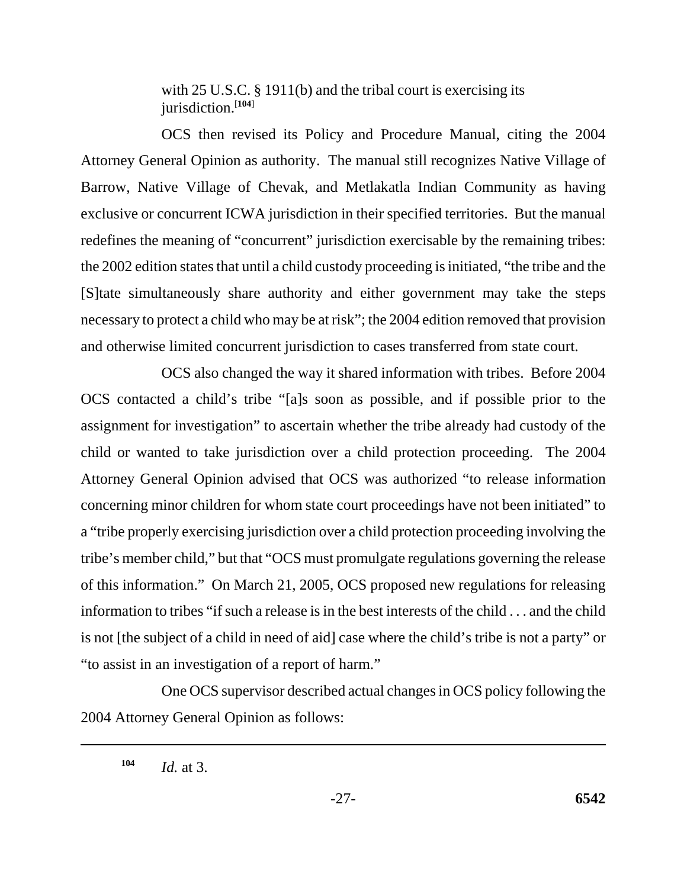with 25 U.S.C. § 1911(b) and the tribal court is exercising its jurisdiction.[**104**]

OCS then revised its Policy and Procedure Manual, citing the 2004 Attorney General Opinion as authority. The manual still recognizes Native Village of Barrow, Native Village of Chevak, and Metlakatla Indian Community as having exclusive or concurrent ICWA jurisdiction in their specified territories. But the manual redefines the meaning of "concurrent" jurisdiction exercisable by the remaining tribes: the 2002 edition states that until a child custody proceeding is initiated, "the tribe and the [S]tate simultaneously share authority and either government may take the steps necessary to protect a child who may be at risk"; the 2004 edition removed that provision and otherwise limited concurrent jurisdiction to cases transferred from state court.

OCS also changed the way it shared information with tribes. Before 2004 OCS contacted a child's tribe "[a]s soon as possible, and if possible prior to the assignment for investigation" to ascertain whether the tribe already had custody of the child or wanted to take jurisdiction over a child protection proceeding. The 2004 Attorney General Opinion advised that OCS was authorized "to release information concerning minor children for whom state court proceedings have not been initiated" to a "tribe properly exercising jurisdiction over a child protection proceeding involving the tribe's member child," but that "OCS must promulgate regulations governing the release of this information." On March 21, 2005, OCS proposed new regulations for releasing information to tribes "if such a release is in the best interests of the child . . . and the child is not [the subject of a child in need of aid] case where the child's tribe is not a party" or "to assist in an investigation of a report of harm."

One OCS supervisor described actual changes in OCS policy following the 2004 Attorney General Opinion as follows:

**<sup>104</sup>***Id.* at 3.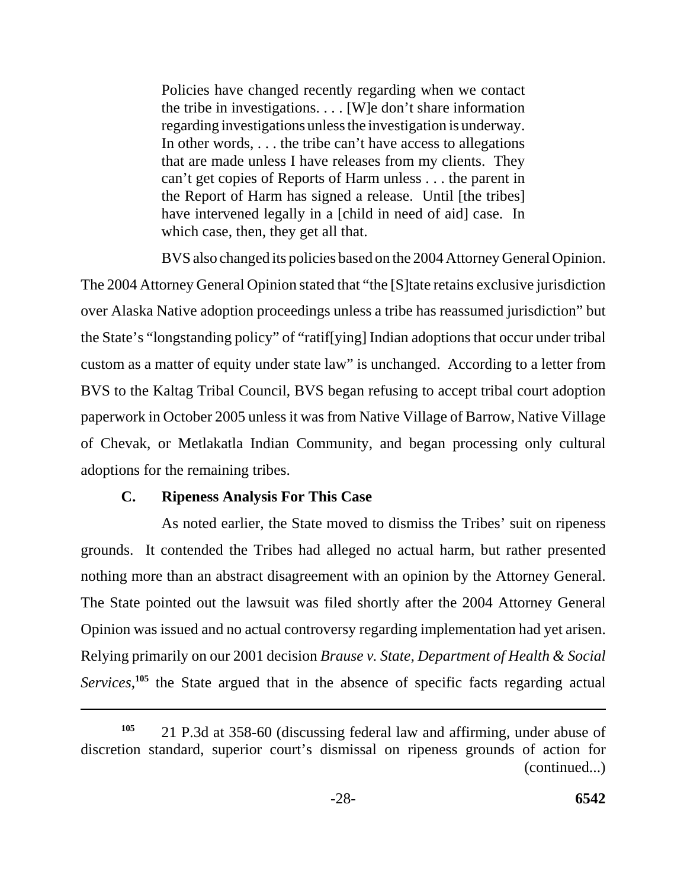Policies have changed recently regarding when we contact the tribe in investigations. . . . [W]e don't share information regarding investigations unless the investigation is underway. In other words, . . . the tribe can't have access to allegations that are made unless I have releases from my clients. They can't get copies of Reports of Harm unless . . . the parent in the Report of Harm has signed a release. Until [the tribes] have intervened legally in a [child in need of aid] case. In which case, then, they get all that.

BVS also changed its policies based on the 2004 Attorney General Opinion. The 2004 Attorney General Opinion stated that "the [S]tate retains exclusive jurisdiction over Alaska Native adoption proceedings unless a tribe has reassumed jurisdiction" but the State's "longstanding policy" of "ratif[ying] Indian adoptions that occur under tribal custom as a matter of equity under state law" is unchanged. According to a letter from BVS to the Kaltag Tribal Council, BVS began refusing to accept tribal court adoption paperwork in October 2005 unless it was from Native Village of Barrow, Native Village of Chevak, or Metlakatla Indian Community, and began processing only cultural adoptions for the remaining tribes.

### **C. Ripeness Analysis For This Case**

As noted earlier, the State moved to dismiss the Tribes' suit on ripeness grounds. It contended the Tribes had alleged no actual harm, but rather presented nothing more than an abstract disagreement with an opinion by the Attorney General. The State pointed out the lawsuit was filed shortly after the 2004 Attorney General Opinion was issued and no actual controversy regarding implementation had yet arisen. Relying primarily on our 2001 decision *Brause v. State, Department of Health & Social*  Services,<sup>105</sup> the State argued that in the absence of specific facts regarding actual

**<sup>105</sup>**21 P.3d at 358-60 (discussing federal law and affirming, under abuse of discretion standard, superior court's dismissal on ripeness grounds of action for (continued...)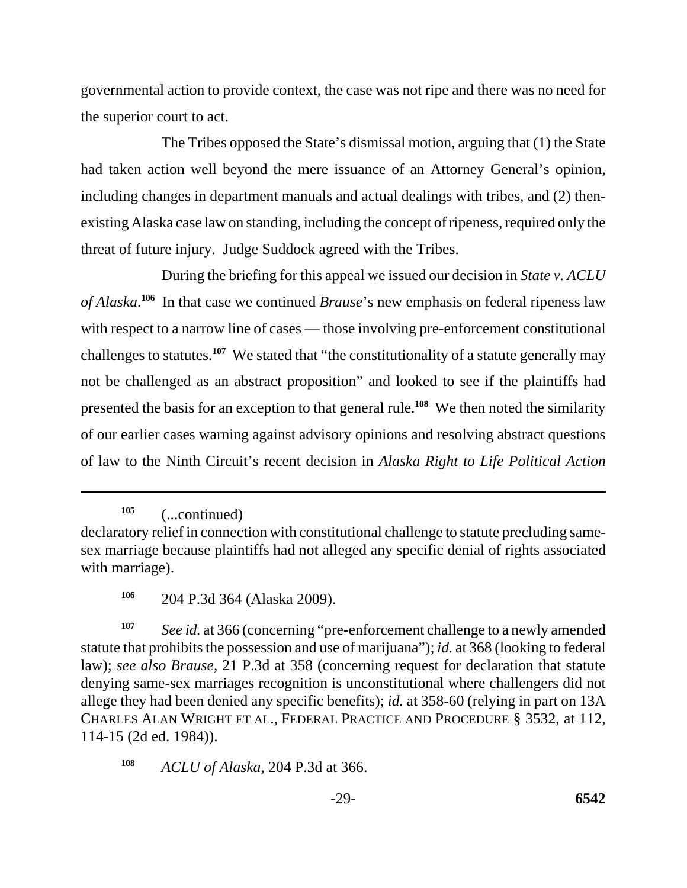governmental action to provide context, the case was not ripe and there was no need for the superior court to act.

The Tribes opposed the State's dismissal motion, arguing that (1) the State had taken action well beyond the mere issuance of an Attorney General's opinion, including changes in department manuals and actual dealings with tribes, and (2) thenexisting Alaska case law on standing, including the concept of ripeness, required only the threat of future injury. Judge Suddock agreed with the Tribes.

During the briefing for this appeal we issued our decision in *State v. ACLU of Alaska*. **<sup>106</sup>** In that case we continued *Brause*'s new emphasis on federal ripeness law with respect to a narrow line of cases — those involving pre-enforcement constitutional challenges to statutes.**<sup>107</sup>** We stated that "the constitutionality of a statute generally may not be challenged as an abstract proposition" and looked to see if the plaintiffs had presented the basis for an exception to that general rule.**<sup>108</sup>** We then noted the similarity of our earlier cases warning against advisory opinions and resolving abstract questions of law to the Ninth Circuit's recent decision in *Alaska Right to Life Political Action* 

**<sup>105</sup>**(...continued)

**<sup>107</sup>***See id.* at 366 (concerning "pre-enforcement challenge to a newly amended statute that prohibits the possession and use of marijuana"); *id.* at 368 (looking to federal law); *see also Brause*, 21 P.3d at 358 (concerning request for declaration that statute denying same-sex marriages recognition is unconstitutional where challengers did not allege they had been denied any specific benefits); *id.* at 358-60 (relying in part on 13A CHARLES ALAN WRIGHT ET AL., FEDERAL PRACTICE AND PROCEDURE § 3532, at 112, 114-15 (2d ed. 1984)).

**<sup>108</sup>***ACLU of Alaska*, 204 P.3d at 366.

declaratory relief in connection with constitutional challenge to statute precluding samesex marriage because plaintiffs had not alleged any specific denial of rights associated with marriage).

**<sup>106</sup>**204 P.3d 364 (Alaska 2009).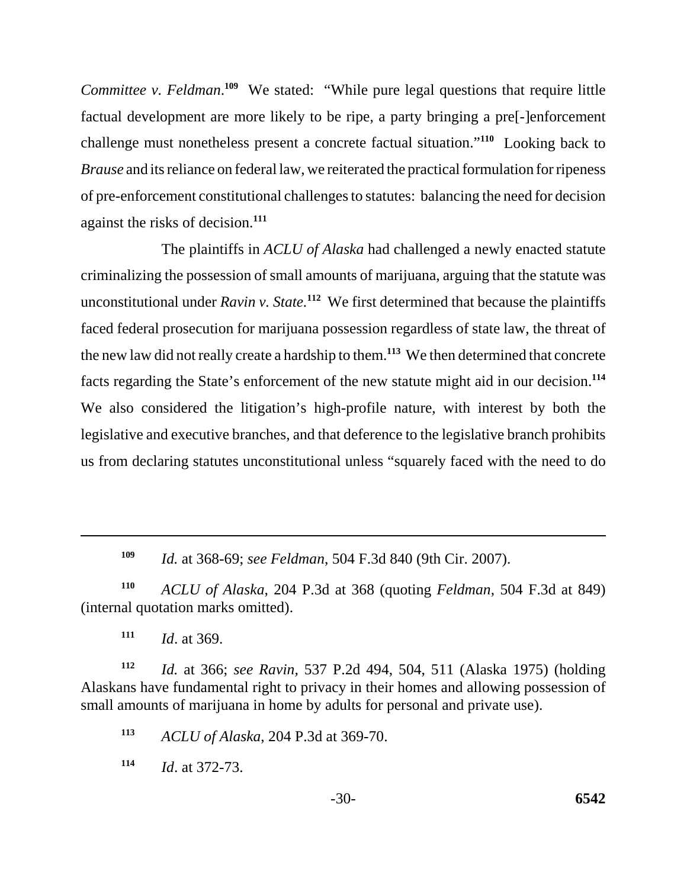*Committee v. Feldman.*<sup>109</sup> We stated: "While pure legal questions that require little factual development are more likely to be ripe, a party bringing a pre[-]enforcement challenge must nonetheless present a concrete factual situation."**<sup>110</sup>** Looking back to *Brause* and its reliance on federal law, we reiterated the practical formulation for ripeness of pre-enforcement constitutional challenges to statutes: balancing the need for decision against the risks of decision.**<sup>111</sup>**

The plaintiffs in *ACLU of Alaska* had challenged a newly enacted statute criminalizing the possession of small amounts of marijuana, arguing that the statute was unconstitutional under *Ravin v. State.***<sup>112</sup>** We first determined that because the plaintiffs faced federal prosecution for marijuana possession regardless of state law, the threat of the new law did not really create a hardship to them.**<sup>113</sup>** We then determined that concrete facts regarding the State's enforcement of the new statute might aid in our decision.**<sup>114</sup>** We also considered the litigation's high-profile nature, with interest by both the legislative and executive branches, and that deference to the legislative branch prohibits us from declaring statutes unconstitutional unless "squarely faced with the need to do

**<sup>109</sup>***Id.* at 368-69; *see Feldman*, 504 F.3d 840 (9th Cir. 2007).

**<sup>110</sup>***ACLU of Alaska*, 204 P.3d at 368 (quoting *Feldman*, 504 F.3d at 849) (internal quotation marks omitted).

**<sup>111</sup>***Id*. at 369.

**<sup>112</sup>***Id.* at 366; *see Ravin,* 537 P.2d 494, 504, 511 (Alaska 1975) (holding Alaskans have fundamental right to privacy in their homes and allowing possession of small amounts of marijuana in home by adults for personal and private use).

**<sup>113</sup>***ACLU of Alaska*, 204 P.3d at 369-70.

**<sup>114</sup>***Id*. at 372-73.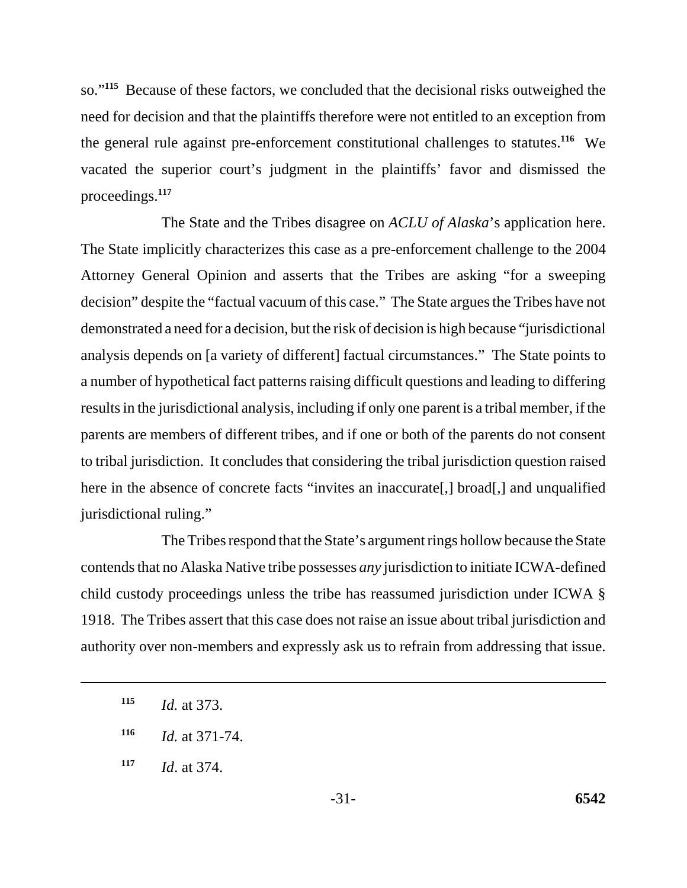so."**<sup>115</sup>** Because of these factors, we concluded that the decisional risks outweighed the need for decision and that the plaintiffs therefore were not entitled to an exception from the general rule against pre-enforcement constitutional challenges to statutes.**<sup>116</sup>** We vacated the superior court's judgment in the plaintiffs' favor and dismissed the proceedings.**<sup>117</sup>**

The State and the Tribes disagree on *ACLU of Alaska*'s application here. The State implicitly characterizes this case as a pre-enforcement challenge to the 2004 Attorney General Opinion and asserts that the Tribes are asking "for a sweeping decision" despite the "factual vacuum of this case." The State argues the Tribes have not demonstrated a need for a decision, but the risk of decision is high because "jurisdictional analysis depends on [a variety of different] factual circumstances." The State points to a number of hypothetical fact patterns raising difficult questions and leading to differing results in the jurisdictional analysis, including if only one parent is a tribal member, if the parents are members of different tribes, and if one or both of the parents do not consent to tribal jurisdiction. It concludes that considering the tribal jurisdiction question raised here in the absence of concrete facts "invites an inaccurate[,] broad[,] and unqualified jurisdictional ruling."

The Tribes respond that the State's argument rings hollow because the State contends that no Alaska Native tribe possesses *any* jurisdiction to initiate ICWA-defined child custody proceedings unless the tribe has reassumed jurisdiction under ICWA § 1918. The Tribes assert that this case does not raise an issue about tribal jurisdiction and authority over non-members and expressly ask us to refrain from addressing that issue.

**<sup>115</sup>***Id.* at 373.

**<sup>116</sup>***Id.* at 371-74.

**<sup>117</sup>***Id*. at 374.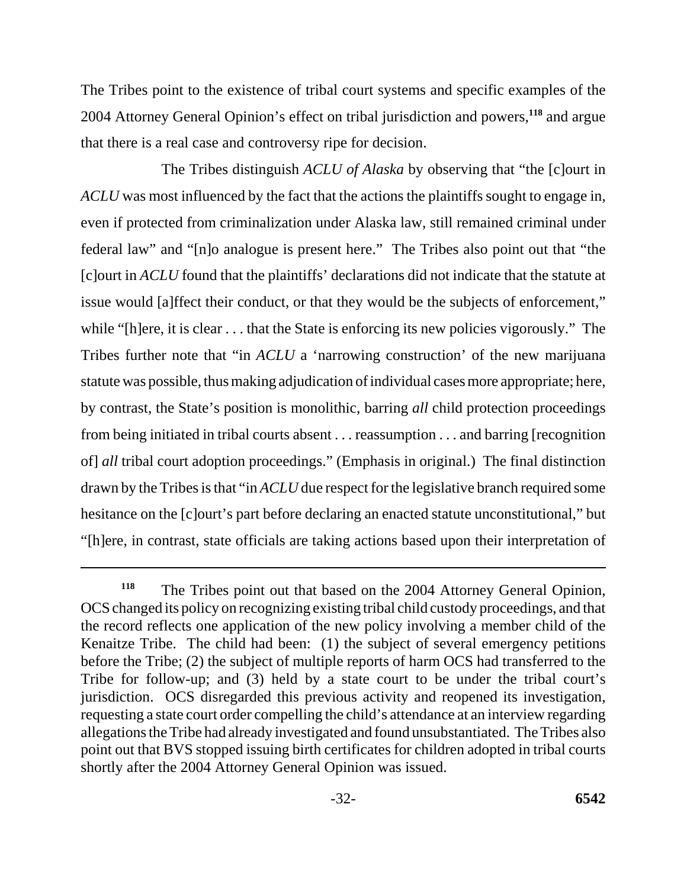The Tribes point to the existence of tribal court systems and specific examples of the 2004 Attorney General Opinion's effect on tribal jurisdiction and powers,**<sup>118</sup>** and argue that there is a real case and controversy ripe for decision.

The Tribes distinguish *ACLU of Alaska* by observing that "the [c]ourt in *ACLU* was most influenced by the fact that the actions the plaintiffs sought to engage in, even if protected from criminalization under Alaska law, still remained criminal under federal law" and "[n]o analogue is present here." The Tribes also point out that "the [c]ourt in *ACLU* found that the plaintiffs' declarations did not indicate that the statute at issue would [a]ffect their conduct, or that they would be the subjects of enforcement," while "[h]ere, it is clear . . . that the State is enforcing its new policies vigorously." The Tribes further note that "in *ACLU* a 'narrowing construction' of the new marijuana statute was possible, thus making adjudication of individual cases more appropriate; here, by contrast, the State's position is monolithic, barring *all* child protection proceedings from being initiated in tribal courts absent . . . reassumption . . . and barring [recognition of] *all* tribal court adoption proceedings." (Emphasis in original.) The final distinction drawn by the Tribes is that "in *ACLU* due respect for the legislative branch required some hesitance on the [c]ourt's part before declaring an enacted statute unconstitutional," but "[h]ere, in contrast, state officials are taking actions based upon their interpretation of

<sup>&</sup>lt;sup>118</sup> The Tribes point out that based on the 2004 Attorney General Opinion, OCS changed its policy on recognizing existing tribal child custody proceedings, and that the record reflects one application of the new policy involving a member child of the Kenaitze Tribe. The child had been: (1) the subject of several emergency petitions before the Tribe; (2) the subject of multiple reports of harm OCS had transferred to the Tribe for follow-up; and (3) held by a state court to be under the tribal court's jurisdiction. OCS disregarded this previous activity and reopened its investigation, requesting a state court order compelling the child's attendance at an interview regarding allegations the Tribe had already investigated and found unsubstantiated. The Tribes also point out that BVS stopped issuing birth certificates for children adopted in tribal courts shortly after the 2004 Attorney General Opinion was issued.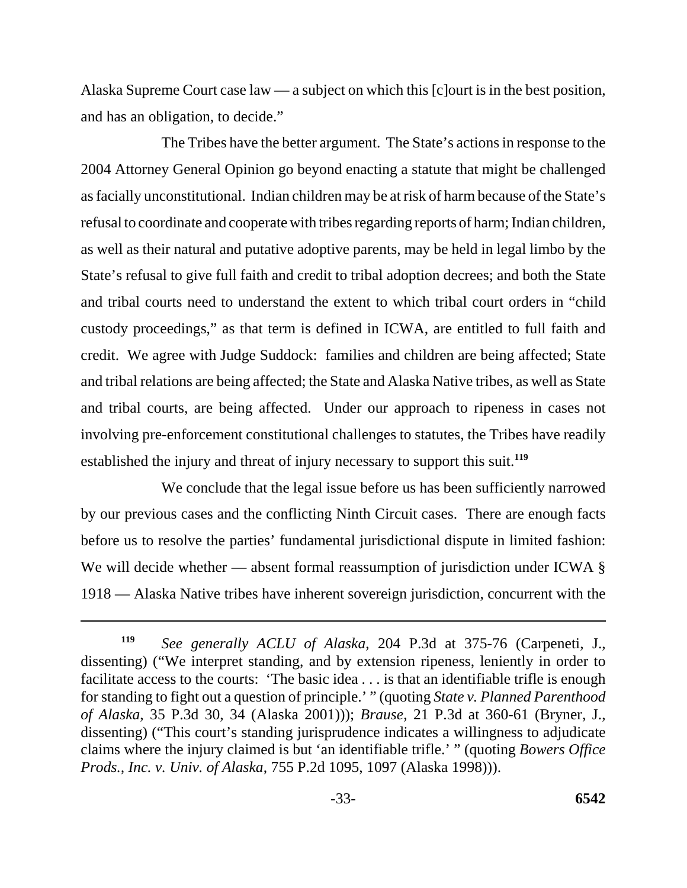Alaska Supreme Court case law — a subject on which this [c]ourt is in the best position, and has an obligation, to decide."

The Tribes have the better argument. The State's actions in response to the 2004 Attorney General Opinion go beyond enacting a statute that might be challenged as facially unconstitutional. Indian children may be at risk of harm because of the State's refusal to coordinate and cooperate with tribes regarding reports of harm; Indian children, as well as their natural and putative adoptive parents, may be held in legal limbo by the State's refusal to give full faith and credit to tribal adoption decrees; and both the State and tribal courts need to understand the extent to which tribal court orders in "child custody proceedings," as that term is defined in ICWA, are entitled to full faith and credit. We agree with Judge Suddock: families and children are being affected; State and tribal relations are being affected; the State and Alaska Native tribes, as well as State and tribal courts, are being affected. Under our approach to ripeness in cases not involving pre-enforcement constitutional challenges to statutes, the Tribes have readily established the injury and threat of injury necessary to support this suit.**<sup>119</sup>**

We conclude that the legal issue before us has been sufficiently narrowed by our previous cases and the conflicting Ninth Circuit cases. There are enough facts before us to resolve the parties' fundamental jurisdictional dispute in limited fashion: We will decide whether — absent formal reassumption of jurisdiction under ICWA  $\S$ 1918 — Alaska Native tribes have inherent sovereign jurisdiction, concurrent with the

**<sup>119</sup>***See generally ACLU of Alaska*, 204 P.3d at 375-76 (Carpeneti, J., dissenting) ("We interpret standing, and by extension ripeness, leniently in order to facilitate access to the courts: 'The basic idea . . . is that an identifiable trifle is enough for standing to fight out a question of principle.' " (quoting *State v. Planned Parenthood of Alaska*, 35 P.3d 30, 34 (Alaska 2001))); *Brause*, 21 P.3d at 360-61 (Bryner, J., dissenting) ("This court's standing jurisprudence indicates a willingness to adjudicate claims where the injury claimed is but 'an identifiable trifle.' " (quoting *Bowers Office Prods., Inc. v. Univ. of Alaska*, 755 P.2d 1095, 1097 (Alaska 1998))).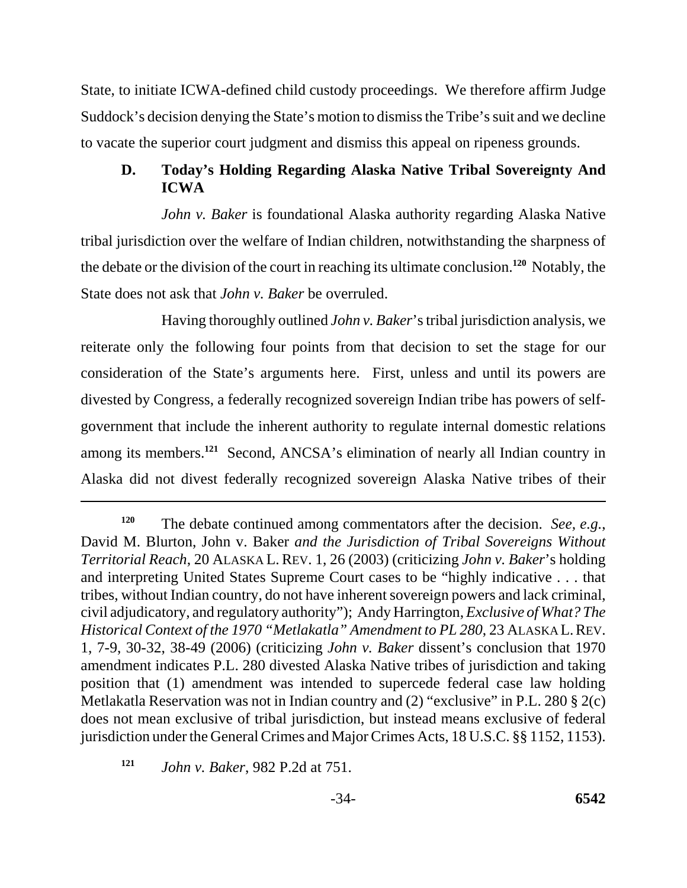State, to initiate ICWA-defined child custody proceedings. We therefore affirm Judge Suddock's decision denying the State's motion to dismiss the Tribe's suit and we decline to vacate the superior court judgment and dismiss this appeal on ripeness grounds.

### **D. Today's Holding Regarding Alaska Native Tribal Sovereignty And ICWA**

*John v. Baker* is foundational Alaska authority regarding Alaska Native tribal jurisdiction over the welfare of Indian children, notwithstanding the sharpness of the debate or the division of the court in reaching its ultimate conclusion.**<sup>120</sup>** Notably, the State does not ask that *John v. Baker* be overruled.

Having thoroughly outlined *John v. Baker*'s tribal jurisdiction analysis, we reiterate only the following four points from that decision to set the stage for our consideration of the State's arguments here. First, unless and until its powers are divested by Congress, a federally recognized sovereign Indian tribe has powers of selfgovernment that include the inherent authority to regulate internal domestic relations among its members.**<sup>121</sup>** Second, ANCSA's elimination of nearly all Indian country in Alaska did not divest federally recognized sovereign Alaska Native tribes of their

**<sup>120</sup>**The debate continued among commentators after the decision. *See, e.g.*, David M. Blurton, John v. Baker *and the Jurisdiction of Tribal Sovereigns Without Territorial Reach*, 20 ALASKA L. REV. 1, 26 (2003) (criticizing *John v. Baker*'s holding and interpreting United States Supreme Court cases to be "highly indicative . . . that tribes, without Indian country, do not have inherent sovereign powers and lack criminal, civil adjudicatory, and regulatory authority"); Andy Harrington, *Exclusive of What? The Historical Context of the 1970 "Metlakatla" Amendment to PL 280*, 23 ALASKA L. REV. 1, 7-9, 30-32, 38-49 (2006) (criticizing *John v. Baker* dissent's conclusion that 1970 amendment indicates P.L. 280 divested Alaska Native tribes of jurisdiction and taking position that (1) amendment was intended to supercede federal case law holding Metlakatla Reservation was not in Indian country and (2) "exclusive" in P.L. 280 § 2(c) does not mean exclusive of tribal jurisdiction, but instead means exclusive of federal jurisdiction under the General Crimes and Major Crimes Acts, 18 U.S.C. §§ 1152, 1153).

**<sup>121</sup>** *John v. Baker*, 982 P.2d at 751.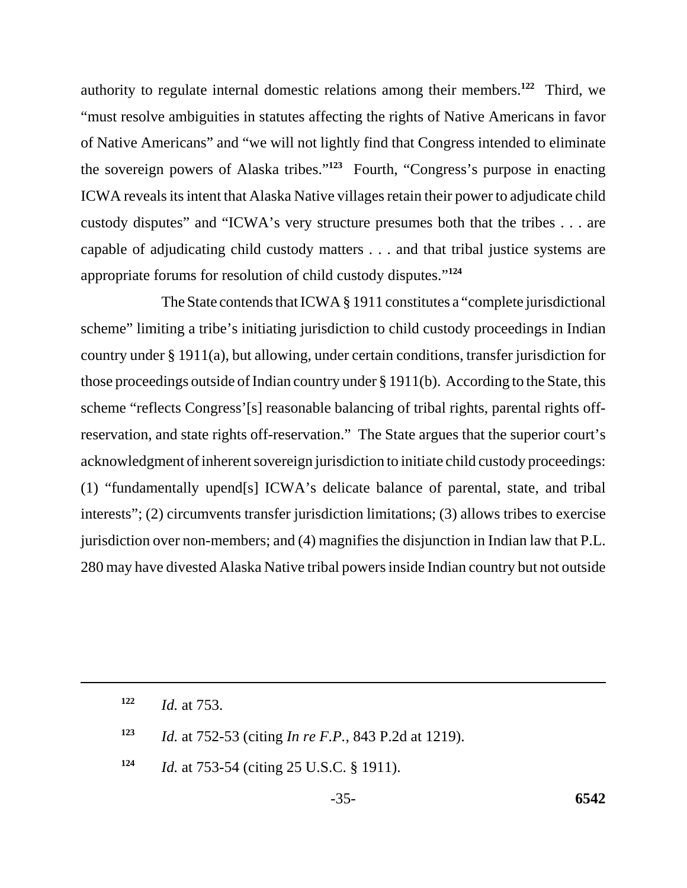authority to regulate internal domestic relations among their members.**<sup>122</sup>** Third, we "must resolve ambiguities in statutes affecting the rights of Native Americans in favor of Native Americans" and "we will not lightly find that Congress intended to eliminate the sovereign powers of Alaska tribes."**<sup>123</sup>** Fourth, "Congress's purpose in enacting ICWA reveals its intent that Alaska Native villages retain their power to adjudicate child custody disputes" and "ICWA's very structure presumes both that the tribes . . . are capable of adjudicating child custody matters . . . and that tribal justice systems are appropriate forums for resolution of child custody disputes."**<sup>124</sup>**

The State contends that ICWA § 1911 constitutes a "complete jurisdictional scheme" limiting a tribe's initiating jurisdiction to child custody proceedings in Indian country under § 1911(a), but allowing, under certain conditions, transfer jurisdiction for those proceedings outside of Indian country under § 1911(b). According to the State, this scheme "reflects Congress'[s] reasonable balancing of tribal rights, parental rights offreservation, and state rights off-reservation." The State argues that the superior court's acknowledgment of inherent sovereign jurisdiction to initiate child custody proceedings: (1) "fundamentally upend[s] ICWA's delicate balance of parental, state, and tribal interests"; (2) circumvents transfer jurisdiction limitations; (3) allows tribes to exercise jurisdiction over non-members; and (4) magnifies the disjunction in Indian law that P.L. 280 may have divested Alaska Native tribal powers inside Indian country but not outside

**122** *Id.* at 753.

**<sup>123</sup>***Id.* at 752-53 (citing *In re F.P.*, 843 P.2d at 1219).

**124** *Id.* at 753-54 (citing 25 U.S.C. § 1911).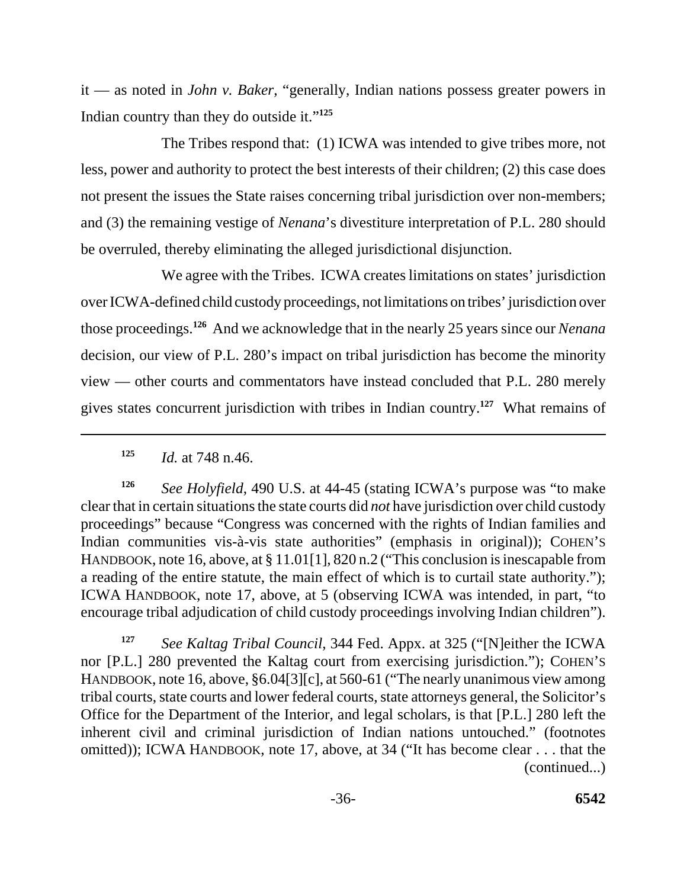it — as noted in *John v. Baker*, "generally, Indian nations possess greater powers in Indian country than they do outside it."**<sup>125</sup>**

The Tribes respond that: (1) ICWA was intended to give tribes more, not less, power and authority to protect the best interests of their children; (2) this case does not present the issues the State raises concerning tribal jurisdiction over non-members; and (3) the remaining vestige of *Nenana*'s divestiture interpretation of P.L. 280 should be overruled, thereby eliminating the alleged jurisdictional disjunction.

We agree with the Tribes. ICWA creates limitations on states' jurisdiction over ICWA-defined child custody proceedings, not limitations on tribes' jurisdiction over those proceedings.**<sup>126</sup>** And we acknowledge that in the nearly 25 years since our *Nenana*  decision, our view of P.L. 280's impact on tribal jurisdiction has become the minority view — other courts and commentators have instead concluded that P.L. 280 merely gives states concurrent jurisdiction with tribes in Indian country.**<sup>127</sup>** What remains of

**<sup>126</sup>***See Holyfield*, 490 U.S. at 44-45 (stating ICWA's purpose was "to make clear that in certain situations the state courts did *not* have jurisdiction over child custody proceedings" because "Congress was concerned with the rights of Indian families and Indian communities vis-à-vis state authorities" (emphasis in original)); COHEN'S HANDBOOK, note 16, above, at § 11.01[1], 820 n.2 ("This conclusion is inescapable from a reading of the entire statute, the main effect of which is to curtail state authority."); ICWA HANDBOOK, note 17, above, at 5 (observing ICWA was intended, in part, "to encourage tribal adjudication of child custody proceedings involving Indian children").

**<sup>127</sup>***See Kaltag Tribal Council*, 344 Fed. Appx. at 325 ("[N]either the ICWA nor [P.L.] 280 prevented the Kaltag court from exercising jurisdiction."); COHEN'S HANDBOOK, note 16, above, §6.04[3][c], at 560-61 ("The nearly unanimous view among tribal courts, state courts and lower federal courts, state attorneys general, the Solicitor's Office for the Department of the Interior, and legal scholars, is that [P.L.] 280 left the inherent civil and criminal jurisdiction of Indian nations untouched." (footnotes omitted)); ICWA HANDBOOK, note 17, above, at 34 ("It has become clear . . . that the (continued...)

**<sup>125</sup>***Id.* at 748 n.46.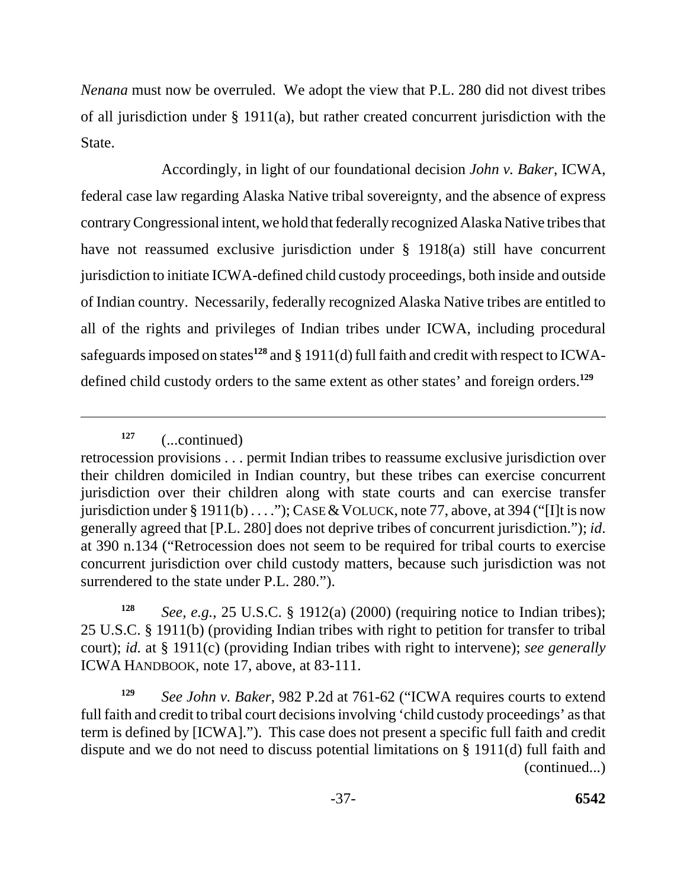*Nenana* must now be overruled. We adopt the view that P.L. 280 did not divest tribes of all jurisdiction under § 1911(a), but rather created concurrent jurisdiction with the State.

Accordingly, in light of our foundational decision *John v. Baker*, ICWA, federal case law regarding Alaska Native tribal sovereignty, and the absence of express contrary Congressional intent, we hold that federally recognized Alaska Native tribes that have not reassumed exclusive jurisdiction under § 1918(a) still have concurrent jurisdiction to initiate ICWA-defined child custody proceedings, both inside and outside of Indian country. Necessarily, federally recognized Alaska Native tribes are entitled to all of the rights and privileges of Indian tribes under ICWA, including procedural safeguards imposed on states**128** and § 1911(d) full faith and credit with respect to ICWAdefined child custody orders to the same extent as other states' and foreign orders.**<sup>129</sup>**

**<sup>127</sup>**(...continued)

**<sup>128</sup>***See, e.g.*, 25 U.S.C. § 1912(a) (2000) (requiring notice to Indian tribes); 25 U.S.C. § 1911(b) (providing Indian tribes with right to petition for transfer to tribal court); *id.* at § 1911(c) (providing Indian tribes with right to intervene); *see generally*  ICWA HANDBOOK, note 17, above, at 83-111.

**<sup>129</sup>***See John v. Baker*, 982 P.2d at 761-62 ("ICWA requires courts to extend full faith and credit to tribal court decisions involving 'child custody proceedings' as that term is defined by [ICWA]."). This case does not present a specific full faith and credit dispute and we do not need to discuss potential limitations on § 1911(d) full faith and (continued...)

retrocession provisions . . . permit Indian tribes to reassume exclusive jurisdiction over their children domiciled in Indian country, but these tribes can exercise concurrent jurisdiction over their children along with state courts and can exercise transfer jurisdiction under § 1911(b)  $\dots$ "); CASE & VOLUCK, note 77, above, at 394 ("[I]t is now generally agreed that [P.L. 280] does not deprive tribes of concurrent jurisdiction."); *id*. at 390 n.134 ("Retrocession does not seem to be required for tribal courts to exercise concurrent jurisdiction over child custody matters, because such jurisdiction was not surrendered to the state under P.L. 280.").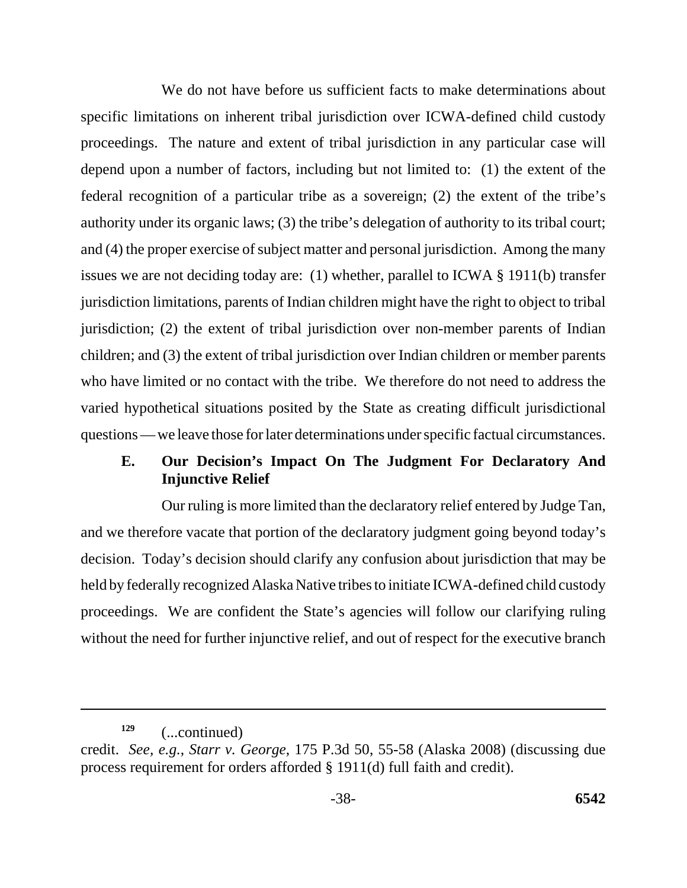We do not have before us sufficient facts to make determinations about specific limitations on inherent tribal jurisdiction over ICWA-defined child custody proceedings. The nature and extent of tribal jurisdiction in any particular case will depend upon a number of factors, including but not limited to: (1) the extent of the federal recognition of a particular tribe as a sovereign; (2) the extent of the tribe's authority under its organic laws; (3) the tribe's delegation of authority to its tribal court; and (4) the proper exercise of subject matter and personal jurisdiction. Among the many issues we are not deciding today are: (1) whether, parallel to ICWA § 1911(b) transfer jurisdiction limitations, parents of Indian children might have the right to object to tribal jurisdiction; (2) the extent of tribal jurisdiction over non-member parents of Indian children; and (3) the extent of tribal jurisdiction over Indian children or member parents who have limited or no contact with the tribe. We therefore do not need to address the varied hypothetical situations posited by the State as creating difficult jurisdictional questions — we leave those for later determinations under specific factual circumstances.

## **E. Our Decision's Impact On The Judgment For Declaratory And Injunctive Relief**

Our ruling is more limited than the declaratory relief entered by Judge Tan, and we therefore vacate that portion of the declaratory judgment going beyond today's decision. Today's decision should clarify any confusion about jurisdiction that may be held by federally recognized Alaska Native tribes to initiate ICWA-defined child custody proceedings. We are confident the State's agencies will follow our clarifying ruling without the need for further injunctive relief, and out of respect for the executive branch

**<sup>129</sup>**(...continued)

credit. *See, e.g.*, *Starr v. George*, 175 P.3d 50, 55-58 (Alaska 2008) (discussing due process requirement for orders afforded § 1911(d) full faith and credit).